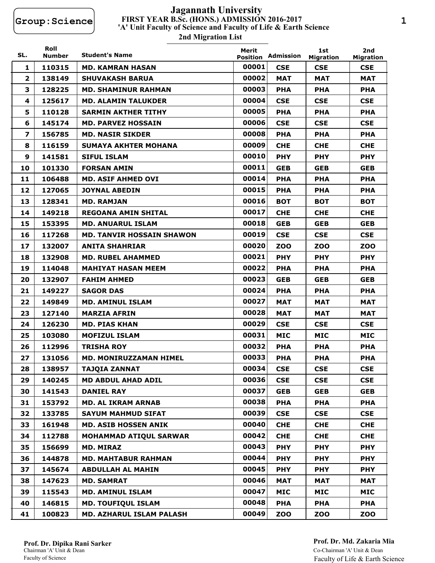## **FIRST YEAR B.Sc. (HONS.) ADMISSION 2016-2017 2nd Migration List 'A' Unit Faculty of Science and Faculty of Life & Earth Science Jagannath University**

| SL.                     | Roll<br><b>Number</b> | <b>Student's Name</b>            | Merit<br><b>Position</b> | Admission  | 1st                            | 2nd                            |
|-------------------------|-----------------------|----------------------------------|--------------------------|------------|--------------------------------|--------------------------------|
| 1                       | 110315                | <b>MD. KAMRAN HASAN</b>          | 00001                    | <b>CSE</b> | <b>Migration</b><br><b>CSE</b> | <b>Migration</b><br><b>CSE</b> |
| $\overline{2}$          | 138149                | <b>SHUVAKASH BARUA</b>           | 00002                    | <b>MAT</b> | <b>MAT</b>                     | <b>MAT</b>                     |
| 3                       | 128225                | <b>MD. SHAMINUR RAHMAN</b>       | 00003                    | <b>PHA</b> | <b>PHA</b>                     | <b>PHA</b>                     |
| 4                       | 125617                | <b>MD. ALAMIN TALUKDER</b>       | 00004                    | <b>CSE</b> | <b>CSE</b>                     | <b>CSE</b>                     |
| 5.                      | 110128                | <b>SARMIN AKTHER TITHY</b>       | 00005                    | <b>PHA</b> | <b>PHA</b>                     | <b>PHA</b>                     |
| 6                       | 145174                | <b>MD. PARVEZ HOSSAIN</b>        | 00006                    | <b>CSE</b> | <b>CSE</b>                     | <b>CSE</b>                     |
| $\overline{\mathbf{z}}$ | 156785                | <b>MD. NASIR SIKDER</b>          | 00008                    | <b>PHA</b> | <b>PHA</b>                     | <b>PHA</b>                     |
| 8                       | 116159                | <b>SUMAYA AKHTER MOHANA</b>      | 00009                    | <b>CHE</b> | <b>CHE</b>                     | <b>CHE</b>                     |
| 9                       | 141581                | <b>SIFUL ISLAM</b>               | 00010                    | <b>PHY</b> | <b>PHY</b>                     | <b>PHY</b>                     |
| 10                      | 101330                | <b>FORSAN AMIN</b>               | 00011                    | <b>GEB</b> | <b>GEB</b>                     | <b>GEB</b>                     |
| 11                      | 106488                | <b>MD. ASIF AHMED OVI</b>        | 00014                    | <b>PHA</b> | <b>PHA</b>                     | <b>PHA</b>                     |
| 12                      | 127065                | <b>JOYNAL ABEDIN</b>             | 00015                    | <b>PHA</b> | <b>PHA</b>                     | <b>PHA</b>                     |
| 13                      | 128341                | <b>MD. RAMJAN</b>                | 00016                    | вот        | BOT                            | вот                            |
| 14                      | 149218                | <b>REGOANA AMIN SHITAL</b>       | 00017                    | <b>CHE</b> | <b>CHE</b>                     | <b>CHE</b>                     |
| 15                      | 153395                | <b>MD. ANUARUL ISLAM</b>         | 00018                    | <b>GEB</b> | <b>GEB</b>                     | <b>GEB</b>                     |
| 16                      | 117268                | <b>MD. TANVIR HOSSAIN SHAWON</b> | 00019                    | <b>CSE</b> | <b>CSE</b>                     | <b>CSE</b>                     |
| 17                      | 132007                | <b>ANITA SHAHRIAR</b>            | 00020                    | <b>ZOO</b> | <b>ZOO</b>                     | ZOO                            |
| 18                      | 132908                | <b>MD. RUBEL AHAMMED</b>         | 00021                    | <b>PHY</b> | <b>PHY</b>                     | <b>PHY</b>                     |
| 19                      | 114048                | <b>MAHIYAT HASAN MEEM</b>        | 00022                    | <b>PHA</b> | <b>PHA</b>                     | <b>PHA</b>                     |
| 20                      | 132907                | <b>FAHIM AHMED</b>               | 00023                    | <b>GEB</b> | <b>GEB</b>                     | <b>GEB</b>                     |
| 21                      | 149227                | <b>SAGOR DAS</b>                 | 00024                    | <b>PHA</b> | <b>PHA</b>                     | <b>PHA</b>                     |
| 22                      | 149849                | <b>MD. AMINUL ISLAM</b>          | 00027                    | <b>MAT</b> | MAT                            | MAT                            |
| 23                      | 127140                | <b>MARZIA AFRIN</b>              | 00028                    | <b>MAT</b> | <b>MAT</b>                     | <b>MAT</b>                     |
| 24                      | 126230                | <b>MD. PIAS KHAN</b>             | 00029                    | <b>CSE</b> | <b>CSE</b>                     | <b>CSE</b>                     |
| 25                      | 103080                | <b>MOFIZUL ISLAM</b>             | 00031                    | <b>MIC</b> | <b>MIC</b>                     | MIC                            |
| 26                      | 112996                | <b>TRISHA ROY</b>                | 00032                    | <b>PHA</b> | <b>PHA</b>                     | <b>PHA</b>                     |
| 27                      | 131056                | <b>MD. MONIRUZZAMAN HIMEL</b>    | 00033                    | <b>PHA</b> | <b>PHA</b>                     | <b>PHA</b>                     |
| 28                      | 138957                | <b>TAJQIA ZANNAT</b>             | 00034                    | <b>CSE</b> | <b>CSE</b>                     | <b>CSE</b>                     |
| 29                      | 140245                | <b>MD ABDUL AHAD ADIL</b>        | 00036                    | <b>CSE</b> | <b>CSE</b>                     | <b>CSE</b>                     |
| 30                      | 141543                | <b>DANIEL RAY</b>                | 00037                    | <b>GEB</b> | <b>GEB</b>                     | <b>GEB</b>                     |
| 31                      | 153792                | <b>MD. AL IKRAM ARNAB</b>        | 00038                    | <b>PHA</b> | <b>PHA</b>                     | <b>PHA</b>                     |
| 32                      | 133785                | <b>SAYUM MAHMUD SIFAT</b>        | 00039                    | <b>CSE</b> | <b>CSE</b>                     | <b>CSE</b>                     |
| 33                      | 161948                | <b>MD. ASIB HOSSEN ANIK</b>      | 00040                    | <b>CHE</b> | <b>CHE</b>                     | <b>CHE</b>                     |
| 34                      | 112788                | <b>MOHAMMAD ATIQUL SARWAR</b>    | 00042                    | <b>CHE</b> | <b>CHE</b>                     | <b>CHE</b>                     |
| 35                      | 156699                | <b>MD. MIRAZ</b>                 | 00043                    | <b>PHY</b> | <b>PHY</b>                     | <b>PHY</b>                     |
| 36                      | 144878                | <b>MD. MAHTABUR RAHMAN</b>       | 00044                    | <b>PHY</b> | <b>PHY</b>                     | <b>PHY</b>                     |
| 37                      | 145674                | <b>ABDULLAH AL MAHIN</b>         | 00045                    | <b>PHY</b> | <b>PHY</b>                     | <b>PHY</b>                     |
| 38                      | 147623                | <b>MD. SAMRAT</b>                | 00046                    | <b>MAT</b> | MAT                            | MAT                            |
| 39                      | 115543                | <b>MD. AMINUL ISLAM</b>          | 00047                    | <b>MIC</b> | <b>MIC</b>                     | MIC                            |
| 40                      | 146815                | <b>MD. TOUFIQUL ISLAM</b>        | 00048                    | <b>PHA</b> | <b>PHA</b>                     | <b>PHA</b>                     |
| 41                      | 100823                | <b>MD. AZHARUL ISLAM PALASH</b>  | 00049                    | ZOO        | ZOO                            | <b>ZOO</b>                     |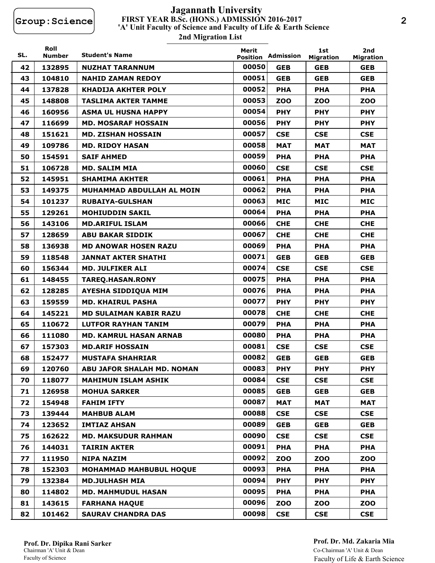## **FIRST YEAR B.Sc. (HONS.) ADMISSION 2016-2017 2nd Migration List 'A' Unit Faculty of Science and Faculty of Life & Earth Science Jagannath University**

| SL. | Roll<br><b>Number</b> | <b>Student's Name</b>             | Merit<br><b>Position</b> | Admission  | 1st<br><b>Migration</b> | 2nd<br><b>Migration</b> |
|-----|-----------------------|-----------------------------------|--------------------------|------------|-------------------------|-------------------------|
| 42  | 132895                | <b>NUZHAT TARANNUM</b>            | 00050                    | <b>GEB</b> | <b>GEB</b>              | <b>GEB</b>              |
| 43  | 104810                | <b>NAHID ZAMAN REDOY</b>          | 00051                    | <b>GEB</b> | <b>GEB</b>              | <b>GEB</b>              |
| 44  | 137828                | <b>KHADIJA AKHTER POLY</b>        | 00052                    | <b>PHA</b> | <b>PHA</b>              | <b>PHA</b>              |
| 45  | 148808                | <b>TASLIMA AKTER TAMME</b>        | 00053                    | <b>ZOO</b> | <b>ZOO</b>              | <b>ZOO</b>              |
| 46  | 160956                | <b>ASMA UL HUSNA HAPPY</b>        | 00054                    | <b>PHY</b> | <b>PHY</b>              | <b>PHY</b>              |
| 47  | 116699                | <b>MD. MOSARAF HOSSAIN</b>        | 00056                    | <b>PHY</b> | <b>PHY</b>              | <b>PHY</b>              |
| 48  | 151621                | <b>MD. ZISHAN HOSSAIN</b>         | 00057                    | <b>CSE</b> | <b>CSE</b>              | <b>CSE</b>              |
| 49  | 109786                | <b>MD. RIDOY HASAN</b>            | 00058                    | <b>MAT</b> | <b>MAT</b>              | <b>MAT</b>              |
| 50  | 154591                | <b>SAIF AHMED</b>                 | 00059                    | <b>PHA</b> | <b>PHA</b>              | <b>PHA</b>              |
| 51  | 106728                | <b>MD. SALIM MIA</b>              | 00060                    | <b>CSE</b> | <b>CSE</b>              | <b>CSE</b>              |
| 52  | 145951                | <b>SHAMIMA AKHTER</b>             | 00061                    | <b>PHA</b> | <b>PHA</b>              | <b>PHA</b>              |
| 53  | 149375                | <b>MUHAMMAD ABDULLAH AL MOIN</b>  | 00062                    | <b>PHA</b> | <b>PHA</b>              | <b>PHA</b>              |
| 54  | 101237                | <b>RUBAIYA-GULSHAN</b>            | 00063                    | <b>MIC</b> | <b>MIC</b>              | <b>MIC</b>              |
| 55  | 129261                | <b>MOHIUDDIN SAKIL</b>            | 00064                    | <b>PHA</b> | <b>PHA</b>              | <b>PHA</b>              |
| 56  | 143106                | <b>MD.ARIFUL ISLAM</b>            | 00066                    | <b>CHE</b> | <b>CHE</b>              | <b>CHE</b>              |
| 57  | 128659                | <b>ABU BAKAR SIDDIK</b>           | 00067                    | <b>CHE</b> | <b>CHE</b>              | <b>CHE</b>              |
| 58  | 136938                | <b>MD ANOWAR HOSEN RAZU</b>       | 00069                    | <b>PHA</b> | <b>PHA</b>              | <b>PHA</b>              |
| 59  | 118548                | <b>JANNAT AKTER SHATHI</b>        | 00071                    | <b>GEB</b> | <b>GEB</b>              | <b>GEB</b>              |
| 60  | 156344                | <b>MD. JULFIKER ALI</b>           | 00074                    | <b>CSE</b> | <b>CSE</b>              | <b>CSE</b>              |
| 61  | 148455                | <b>TAREQ.HASAN.RONY</b>           | 00075                    | <b>PHA</b> | <b>PHA</b>              | <b>PHA</b>              |
| 62  | 128285                | <b>AYESHA SIDDIQUA MIM</b>        | 00076                    | <b>PHA</b> | <b>PHA</b>              | <b>PHA</b>              |
| 63  | 159559                | <b>MD. KHAIRUL PASHA</b>          | 00077                    | <b>PHY</b> | <b>PHY</b>              | <b>PHY</b>              |
| 64  | 145221                | <b>MD SULAIMAN KABIR RAZU</b>     | 00078                    | <b>CHE</b> | <b>CHE</b>              | <b>CHE</b>              |
| 65  | 110672                | <b>LUTFOR RAYHAN TANIM</b>        | 00079                    | <b>PHA</b> | <b>PHA</b>              | <b>PHA</b>              |
| 66  | 111080                | <b>MD. KAMRUL HASAN ARNAB</b>     | 00080                    | <b>PHA</b> | <b>PHA</b>              | <b>PHA</b>              |
| 67  | 157303                | <b>MD.ARIF HOSSAIN</b>            | 00081                    | <b>CSE</b> | <b>CSE</b>              | <b>CSE</b>              |
| 68  | 152477                | <b>MUSTAFA SHAHRIAR</b>           | 00082                    | <b>GEB</b> | <b>GEB</b>              | <b>GEB</b>              |
| 69  | 120760                | <b>ABU JAFOR SHALAH MD. NOMAN</b> | 00083                    | <b>PHY</b> | <b>PHY</b>              | <b>PHY</b>              |
| 70  | 118077                | <b>MAHIMUN ISLAM ASHIK</b>        | 00084                    | <b>CSE</b> | <b>CSE</b>              | <b>CSE</b>              |
| 71  | 126958                | <b>MOHUA SARKER</b>               | 00085                    | <b>GEB</b> | <b>GEB</b>              | <b>GEB</b>              |
| 72  | 154948                | <b>FAHIM IFTY</b>                 | 00087                    | <b>MAT</b> | MAT                     | MAT                     |
| 73  | 139444                | <b>MAHBUB ALAM</b>                | 00088                    | <b>CSE</b> | <b>CSE</b>              | <b>CSE</b>              |
| 74  | 123652                | <b>IMTIAZ AHSAN</b>               | 00089                    | <b>GEB</b> | <b>GEB</b>              | <b>GEB</b>              |
| 75  | 162622                | <b>MD. MAKSUDUR RAHMAN</b>        | 00090                    | <b>CSE</b> | <b>CSE</b>              | <b>CSE</b>              |
| 76  | 144031                | <b>TAIRIN AKTER</b>               | 00091                    | <b>PHA</b> | <b>PHA</b>              | <b>PHA</b>              |
| 77  | 111950                | <b>NIPA NAZIM</b>                 | 00092                    | <b>ZOO</b> | ZOO                     | ZOO                     |
| 78  | 152303                | <b>MOHAMMAD MAHBUBUL HOQUE</b>    | 00093                    | <b>PHA</b> | <b>PHA</b>              | <b>PHA</b>              |
| 79  | 132384                | <b>MD.JULHASH MIA</b>             | 00094                    | <b>PHY</b> | <b>PHY</b>              | <b>PHY</b>              |
| 80  | 114802                | <b>MD. MAHMUDUL HASAN</b>         | 00095                    | <b>PHA</b> | <b>PHA</b>              | <b>PHA</b>              |
| 81  | 143615                | <b>FARHANA HAQUE</b>              | 00096                    | <b>ZOO</b> | <b>ZOO</b>              | ZOO                     |
| 82  | 101462                | <b>SAURAV CHANDRA DAS</b>         | 00098                    | <b>CSE</b> | <b>CSE</b>              | <b>CSE</b>              |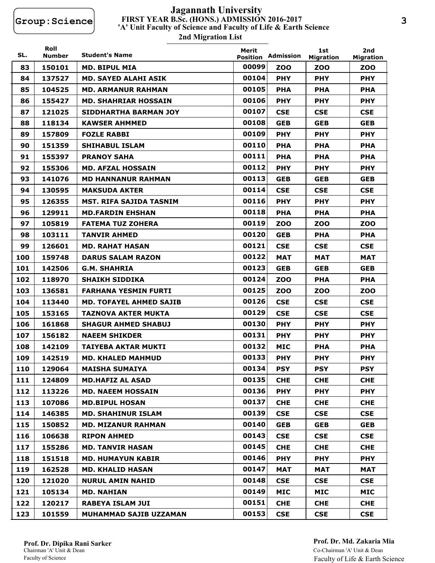## **FIRST YEAR B.Sc. (HONS.) ADMISSION 2016-2017 2nd Migration List 'A' Unit Faculty of Science and Faculty of Life & Earth Science Jagannath University**

| SL. | Roll<br><b>Number</b> | <b>Student's Name</b>          | Merit                    | Admission  | 1st                     | 2nd                            |
|-----|-----------------------|--------------------------------|--------------------------|------------|-------------------------|--------------------------------|
| 83  | 150101                | <b>MD. BIPUL MIA</b>           | <b>Position</b><br>00099 | ZOO        | <b>Migration</b><br>ZOO | <b>Migration</b><br><b>ZOO</b> |
| 84  | 137527                | <b>MD. SAYED ALAHI ASIK</b>    | 00104                    | <b>PHY</b> | <b>PHY</b>              | <b>PHY</b>                     |
| 85  | 104525                | <b>MD. ARMANUR RAHMAN</b>      | 00105                    | <b>PHA</b> | <b>PHA</b>              | <b>PHA</b>                     |
| 86  | 155427                | <b>MD. SHAHRIAR HOSSAIN</b>    | 00106                    | <b>PHY</b> | <b>PHY</b>              | <b>PHY</b>                     |
| 87  | 121025                | <b>SIDDHARTHA BARMAN JOY</b>   | 00107                    | <b>CSE</b> | <b>CSE</b>              | <b>CSE</b>                     |
| 88  | 118134                | <b>KAWSER AHMMED</b>           | 00108                    | <b>GEB</b> | <b>GEB</b>              | <b>GEB</b>                     |
| 89  | 157809                | <b>FOZLE RABBI</b>             | 00109                    | <b>PHY</b> | <b>PHY</b>              | <b>PHY</b>                     |
| 90  | 151359                | <b>SHIHABUL ISLAM</b>          | 00110                    | <b>PHA</b> | <b>PHA</b>              | <b>PHA</b>                     |
| 91  | 155397                | <b>PRANOY SAHA</b>             | 00111                    | <b>PHA</b> | <b>PHA</b>              | <b>PHA</b>                     |
| 92  | 155306                | <b>MD. AFZAL HOSSAIN</b>       | 00112                    | <b>PHY</b> | <b>PHY</b>              | <b>PHY</b>                     |
| 93  | 141076                | <b>MD HANNANUR RAHMAN</b>      | 00113                    | <b>GEB</b> | <b>GEB</b>              | <b>GEB</b>                     |
| 94  | 130595                | <b>MAKSUDA AKTER</b>           | 00114                    | <b>CSE</b> | <b>CSE</b>              | <b>CSE</b>                     |
| 95  | 126355                | MST. RIFA SAJIDA TASNIM        | 00116                    | <b>PHY</b> | <b>PHY</b>              | <b>PHY</b>                     |
| 96  | 129911                | <b>MD.FARDIN EHSHAN</b>        | 00118                    | <b>PHA</b> | <b>PHA</b>              | <b>PHA</b>                     |
| 97  | 105819                | <b>FATEMA TUZ ZOHERA</b>       | 00119                    | ZOO        | ZOO                     | ZOO                            |
| 98  |                       | <b>TANVIR AHMED</b>            | 00120                    | <b>GEB</b> | <b>PHA</b>              | <b>PHA</b>                     |
|     | 103111                |                                | 00121                    |            |                         |                                |
| 99  | 126601                | <b>MD. RAHAT HASAN</b>         | 00122                    | <b>CSE</b> | <b>CSE</b>              | <b>CSE</b>                     |
| 100 | 159748                | <b>DARUS SALAM RAZON</b>       |                          | <b>MAT</b> | <b>MAT</b>              | <b>MAT</b>                     |
| 101 | 142506                | <b>G.M. SHAHRIA</b>            | 00123                    | <b>GEB</b> | <b>GEB</b>              | <b>GEB</b>                     |
| 102 | 118970                | <b>SHAIKH SIDDIKA</b>          | 00124                    | <b>ZOO</b> | <b>PHA</b>              | <b>PHA</b>                     |
| 103 | 136581                | <b>FARHANA YESMIN FURTI</b>    | 00125                    | <b>ZOO</b> | ZOO                     | ZOO                            |
| 104 | 113440                | <b>MD. TOFAYEL AHMED SAJIB</b> | 00126                    | <b>CSE</b> | <b>CSE</b>              | <b>CSE</b>                     |
| 105 | 153165                | <b>TAZNOVA AKTER MUKTA</b>     | 00129                    | <b>CSE</b> | <b>CSE</b>              | <b>CSE</b>                     |
| 106 | 161868                | <b>SHAGUR AHMED SHABUJ</b>     | 00130                    | <b>PHY</b> | <b>PHY</b>              | <b>PHY</b>                     |
| 107 | 156182                | <b>NAEEM SHIKDER</b>           | 00131                    | <b>PHY</b> | <b>PHY</b>              | <b>PHY</b>                     |
| 108 | 142109                | TAIYEBA AKTAR MUKTI            | 00132                    | <b>MIC</b> | <b>PHA</b>              | <b>PHA</b>                     |
| 109 | 142519                | <b>MD. KHALED MAHMUD</b>       | 00133                    | <b>PHY</b> | <b>PHY</b>              | <b>PHY</b>                     |
| 110 | 129064                | <b>MAISHA SUMAIYA</b>          | 00134                    | <b>PSY</b> | <b>PSY</b>              | <b>PSY</b>                     |
| 111 | 124809                | <b>MD.HAFIZ AL ASAD</b>        | 00135                    | <b>CHE</b> | <b>CHE</b>              | <b>CHE</b>                     |
| 112 | 113226                | <b>MD. NAEEM HOSSAIN</b>       | 00136                    | <b>PHY</b> | <b>PHY</b>              | <b>PHY</b>                     |
| 113 | 107086                | <b>MD.BIPUL HOSAN</b>          | 00137                    | <b>CHE</b> | <b>CHE</b>              | <b>CHE</b>                     |
| 114 | 146385                | <b>MD. SHAHINUR ISLAM</b>      | 00139                    | <b>CSE</b> | <b>CSE</b>              | <b>CSE</b>                     |
| 115 | 150852                | <b>MD. MIZANUR RAHMAN</b>      | 00140                    | <b>GEB</b> | <b>GEB</b>              | <b>GEB</b>                     |
| 116 | 106638                | <b>RIPON AHMED</b>             | 00143                    | <b>CSE</b> | <b>CSE</b>              | <b>CSE</b>                     |
| 117 | 155286                | <b>MD. TANVIR HASAN</b>        | 00145                    | <b>CHE</b> | <b>CHE</b>              | <b>CHE</b>                     |
| 118 | 151518                | <b>MD. HUMAYUN KABIR</b>       | 00146                    | <b>PHY</b> | <b>PHY</b>              | <b>PHY</b>                     |
| 119 | 162528                | <b>MD. KHALID HASAN</b>        | 00147                    | <b>MAT</b> | <b>MAT</b>              | MAT                            |
| 120 | 121020                | <b>NURUL AMIN NAHID</b>        | 00148                    | <b>CSE</b> | <b>CSE</b>              | <b>CSE</b>                     |
| 121 | 105134                | <b>MD. NAHIAN</b>              | 00149                    | <b>MIC</b> | <b>MIC</b>              | MIC                            |
| 122 | 120217                | <b>RABEYA ISLAM JUI</b>        | 00151                    | <b>CHE</b> | <b>CHE</b>              | <b>CHE</b>                     |
| 123 | 101559                | <b>MUHAMMAD SAJIB UZZAMAN</b>  | 00153                    | <b>CSE</b> | <b>CSE</b>              | <b>CSE</b>                     |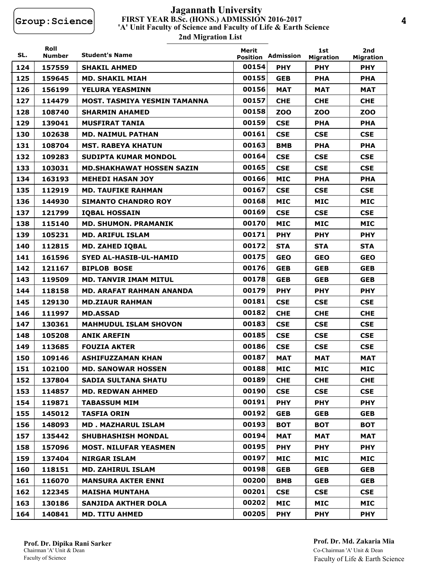## **FIRST YEAR B.Sc. (HONS.) ADMISSION 2016-2017 2nd Migration List 'A' Unit Faculty of Science and Faculty of Life & Earth Science Jagannath University**

| SL. | Roll<br><b>Number</b> | <b>Student's Name</b>            | Merit<br><b>Position</b> | Admission  | 1st<br><b>Migration</b> | 2nd<br><b>Migration</b> |
|-----|-----------------------|----------------------------------|--------------------------|------------|-------------------------|-------------------------|
| 124 | 157559                | <b>SHAKIL AHMED</b>              | 00154                    | <b>PHY</b> | <b>PHY</b>              | <b>PHY</b>              |
| 125 | 159645                | <b>MD. SHAKIL MIAH</b>           | 00155                    | <b>GEB</b> | <b>PHA</b>              | <b>PHA</b>              |
| 126 | 156199                | YELURA YEASMINN                  | 00156                    | <b>MAT</b> | <b>MAT</b>              | <b>MAT</b>              |
| 127 | 114479                | MOST. TASMIYA YESMIN TAMANNA     | 00157                    | <b>CHE</b> | <b>CHE</b>              | <b>CHE</b>              |
| 128 | 108740                | <b>SHARMIN AHAMED</b>            | 00158                    | <b>ZOO</b> | <b>ZOO</b>              | ZOO                     |
| 129 | 139041                | <b>MUSFIRAT TANIA</b>            | 00159                    | <b>CSE</b> | <b>PHA</b>              | <b>PHA</b>              |
| 130 | 102638                | <b>MD. NAIMUL PATHAN</b>         | 00161                    | <b>CSE</b> | <b>CSE</b>              | <b>CSE</b>              |
| 131 | 108704                | <b>MST. RABEYA KHATUN</b>        | 00163                    | <b>BMB</b> | <b>PHA</b>              | <b>PHA</b>              |
| 132 | 109283                | <b>SUDIPTA KUMAR MONDOL</b>      | 00164                    | <b>CSE</b> | <b>CSE</b>              | <b>CSE</b>              |
| 133 | 103031                | <b>MD.SHAKHAWAT HOSSEN SAZIN</b> | 00165                    | <b>CSE</b> | <b>CSE</b>              | <b>CSE</b>              |
| 134 | 163193                | <b>MEHEDI HASAN JOY</b>          | 00166                    | <b>MIC</b> | <b>PHA</b>              | <b>PHA</b>              |
| 135 | 112919                | <b>MD. TAUFIKE RAHMAN</b>        | 00167                    | <b>CSE</b> | <b>CSE</b>              | <b>CSE</b>              |
| 136 | 144930                | <b>SIMANTO CHANDRO ROY</b>       | 00168                    | <b>MIC</b> | <b>MIC</b>              | <b>MIC</b>              |
| 137 | 121799                | <b>IQBAL HOSSAIN</b>             | 00169                    | <b>CSE</b> | <b>CSE</b>              | <b>CSE</b>              |
| 138 | 115140                | <b>MD. SHUMON. PRAMANIK</b>      | 00170                    | <b>MIC</b> | <b>MIC</b>              | <b>MIC</b>              |
| 139 | 105231                | <b>MD. ARIFUL ISLAM</b>          | 00171                    | <b>PHY</b> | <b>PHY</b>              | <b>PHY</b>              |
| 140 | 112815                | <b>MD. ZAHED IQBAL</b>           | 00172                    | <b>STA</b> | <b>STA</b>              | <b>STA</b>              |
| 141 | 161596                | SYED AL-HASIB-UL-HAMID           | 00175                    | <b>GEO</b> | <b>GEO</b>              | <b>GEO</b>              |
| 142 | 121167                | <b>BIPLOB BOSE</b>               | 00176                    | <b>GEB</b> | <b>GEB</b>              | <b>GEB</b>              |
| 143 | 119509                | <b>MD. TANVIR IMAM MITUL</b>     | 00178                    | <b>GEB</b> | <b>GEB</b>              | <b>GEB</b>              |
| 144 | 118158                | <b>MD. ARAFAT RAHMAN ANANDA</b>  | 00179                    | <b>PHY</b> | <b>PHY</b>              | <b>PHY</b>              |
| 145 | 129130                | <b>MD.ZIAUR RAHMAN</b>           | 00181                    | <b>CSE</b> | <b>CSE</b>              | <b>CSE</b>              |
| 146 | 111997                | <b>MD.ASSAD</b>                  | 00182                    | <b>CHE</b> | <b>CHE</b>              | <b>CHE</b>              |
| 147 | 130361                | <b>MAHMUDUL ISLAM SHOVON</b>     | 00183                    | <b>CSE</b> | <b>CSE</b>              | <b>CSE</b>              |
| 148 | 105208                | <b>ANIK AREFIN</b>               | 00185                    | <b>CSE</b> | <b>CSE</b>              | <b>CSE</b>              |
| 149 | 113685                | <b>FOUZIA AKTER</b>              | 00186                    | <b>CSE</b> | <b>CSE</b>              | <b>CSE</b>              |
| 150 | 109146                | <b>ASHIFUZZAMAN KHAN</b>         | 00187                    | <b>MAT</b> | <b>MAT</b>              | <b>MAT</b>              |
| 151 | 102100                | <b>MD. SANOWAR HOSSEN</b>        | 00188                    | <b>MIC</b> | <b>MIC</b>              | <b>MIC</b>              |
| 152 | 137804                | <b>SADIA SULTANA SHATU</b>       | 00189                    | <b>CHE</b> | <b>CHE</b>              | <b>CHE</b>              |
| 153 | 114857                | <b>MD. REDWAN AHMED</b>          | 00190                    | <b>CSE</b> | <b>CSE</b>              | <b>CSE</b>              |
| 154 | 119871                | <b>TABASSUM MIM</b>              | 00191                    | <b>PHY</b> | <b>PHY</b>              | <b>PHY</b>              |
| 155 | 145012                | <b>TASFIA ORIN</b>               | 00192                    | <b>GEB</b> | <b>GEB</b>              | <b>GEB</b>              |
| 156 | 148093                | <b>MD. MAZHARUL ISLAM</b>        | 00193                    | <b>BOT</b> | <b>BOT</b>              | <b>BOT</b>              |
| 157 | 135442                | <b>SHUBHASHISH MONDAL</b>        | 00194                    | <b>MAT</b> | <b>MAT</b>              | MAT                     |
| 158 | 157096                | <b>MOST. NILUFAR YEASMEN</b>     | 00195                    | <b>PHY</b> | <b>PHY</b>              | <b>PHY</b>              |
| 159 | 137404                | <b>NIRGAR ISLAM</b>              | 00197                    | <b>MIC</b> | MIC                     | MIC                     |
| 160 | 118151                | <b>MD. ZAHIRUL ISLAM</b>         | 00198                    | <b>GEB</b> | <b>GEB</b>              | <b>GEB</b>              |
| 161 | 116070                | <b>MANSURA AKTER ENNI</b>        | 00200                    | <b>BMB</b> | <b>GEB</b>              | <b>GEB</b>              |
| 162 | 122345                | <b>MAISHA MUNTAHA</b>            | 00201                    | <b>CSE</b> | <b>CSE</b>              | <b>CSE</b>              |
| 163 | 130186                | <b>SANJIDA AKTHER DOLA</b>       | 00202                    | <b>MIC</b> | <b>MIC</b>              | MIC                     |
| 164 | 140841                | <b>MD. TITU AHMED</b>            | 00205                    | <b>PHY</b> | <b>PHY</b>              | <b>PHY</b>              |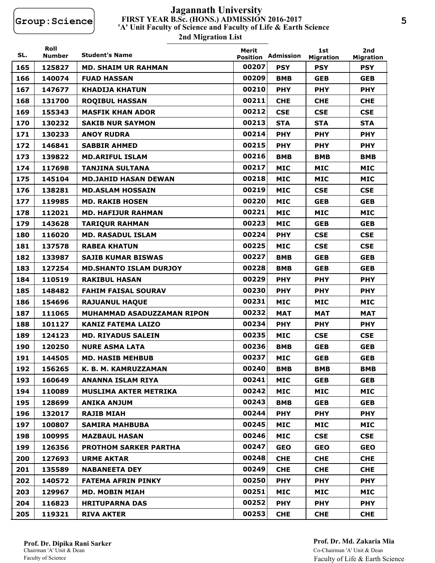# **FIRST YEAR B.Sc. (HONS.) ADMISSION 2016-2017 2nd Migration List 'A' Unit Faculty of Science and Faculty of Life & Earth Science Jagannath University**

| SL. | Roll<br><b>Number</b> | <b>Student's Name</b>         | Merit<br><b>Position</b> | Admission  | 1st<br><b>Migration</b> | 2nd<br><b>Migration</b> |
|-----|-----------------------|-------------------------------|--------------------------|------------|-------------------------|-------------------------|
| 165 | 125827                | <b>MD. SHAIM UR RAHMAN</b>    | 00207                    | <b>PSY</b> | <b>PSY</b>              | <b>PSY</b>              |
| 166 | 140074                | <b>FUAD HASSAN</b>            | 00209                    | <b>BMB</b> | <b>GEB</b>              | <b>GEB</b>              |
| 167 | 147677                | <b>KHADIJA KHATUN</b>         | 00210                    | <b>PHY</b> | <b>PHY</b>              | <b>PHY</b>              |
| 168 | 131700                | <b>ROQIBUL HASSAN</b>         | 00211                    | <b>CHE</b> | <b>CHE</b>              | <b>CHE</b>              |
| 169 | 155343                | <b>MASFIK KHAN ADOR</b>       | 00212                    | <b>CSE</b> | <b>CSE</b>              | <b>CSE</b>              |
| 170 | 130232                | <b>SAKIB NUR SAYMON</b>       | 00213                    | <b>STA</b> | <b>STA</b>              | <b>STA</b>              |
| 171 | 130233                | <b>ANOY RUDRA</b>             | 00214                    | <b>PHY</b> | <b>PHY</b>              | <b>PHY</b>              |
| 172 | 146841                | <b>SABBIR AHMED</b>           | 00215                    | <b>PHY</b> | <b>PHY</b>              | <b>PHY</b>              |
| 173 | 139822                | <b>MD.ARIFUL ISLAM</b>        | 00216                    | <b>BMB</b> | <b>BMB</b>              | <b>BMB</b>              |
| 174 | 117698                | <b>TANJINA SULTANA</b>        | 00217                    | <b>MIC</b> | <b>MIC</b>              | <b>MIC</b>              |
| 175 | 145104                | <b>MD.JAHID HASAN DEWAN</b>   | 00218                    | <b>MIC</b> | <b>MIC</b>              | <b>MIC</b>              |
| 176 | 138281                | <b>MD.ASLAM HOSSAIN</b>       | 00219                    | <b>MIC</b> | <b>CSE</b>              | <b>CSE</b>              |
| 177 | 119985                | <b>MD. RAKIB HOSEN</b>        | 00220                    | <b>MIC</b> | <b>GEB</b>              | <b>GEB</b>              |
| 178 | 112021                | <b>MD. HAFIJUR RAHMAN</b>     | 00221                    | <b>MIC</b> | <b>MIC</b>              | MIC                     |
| 179 | 143628                | <b>TARIQUR RAHMAN</b>         | 00223                    | <b>MIC</b> | <b>GEB</b>              | <b>GEB</b>              |
| 180 | 116020                | <b>MD. RASADUL ISLAM</b>      | 00224                    | <b>PHY</b> | <b>CSE</b>              | <b>CSE</b>              |
| 181 | 137578                | <b>RABEA KHATUN</b>           | 00225                    | <b>MIC</b> | <b>CSE</b>              | <b>CSE</b>              |
| 182 | 133987                | <b>SAJIB KUMAR BISWAS</b>     | 00227                    | <b>BMB</b> | <b>GEB</b>              | <b>GEB</b>              |
| 183 | 127254                | <b>MD.SHANTO ISLAM DURJOY</b> | 00228                    | <b>BMB</b> | <b>GEB</b>              | <b>GEB</b>              |
| 184 | 110519                | <b>RAKIBUL HASAN</b>          | 00229                    | <b>PHY</b> | <b>PHY</b>              | <b>PHY</b>              |
| 185 | 148482                | <b>FAHIM FAISAL SOURAV</b>    | 00230                    | <b>PHY</b> | <b>PHY</b>              | <b>PHY</b>              |
| 186 | 154696                | <b>RAJUANUL HAQUE</b>         | 00231                    | <b>MIC</b> | <b>MIC</b>              | MIC                     |
| 187 | 111065                | MUHAMMAD ASADUZZAMAN RIPON    | 00232                    | <b>MAT</b> | <b>MAT</b>              | <b>MAT</b>              |
| 188 | 101127                | <b>KANIZ FATEMA LAIZO</b>     | 00234                    | <b>PHY</b> | <b>PHY</b>              | <b>PHY</b>              |
| 189 | 124123                | <b>MD. RIYADUS SALEIN</b>     | 00235                    | <b>MIC</b> | <b>CSE</b>              | <b>CSE</b>              |
| 190 | 120250                | <b>NURE ASMA LATA</b>         | 00236                    | <b>BMB</b> | <b>GEB</b>              | <b>GEB</b>              |
| 191 | 144505                | <b>MD. HASIB MEHBUB</b>       | 00237                    | <b>MIC</b> | <b>GEB</b>              | <b>GEB</b>              |
| 192 | 156265                | K. B. M. KAMRUZZAMAN          | 00240                    | <b>BMB</b> | <b>BMB</b>              | <b>BMB</b>              |
| 193 | 160649                | ANANNA ISLAM RIYA             | 00241                    | <b>MIC</b> | <b>GEB</b>              | <b>GEB</b>              |
| 194 | 110089                | <b>MUSLIMA AKTER METRIKA</b>  | 00242                    | MIC        | MIC                     | MIC                     |
| 195 | 128699                | <b>ANIKA ANJUM</b>            | 00243                    | <b>BMB</b> | <b>GEB</b>              | <b>GEB</b>              |
| 196 | 132017                | <b>RAJIB MIAH</b>             | 00244                    | <b>PHY</b> | <b>PHY</b>              | <b>PHY</b>              |
| 197 | 100807                | <b>SAMIRA MAHBUBA</b>         | 00245                    | MIC        | <b>MIC</b>              | MIC                     |
| 198 | 100995                | <b>MAZBAUL HASAN</b>          | 00246                    | MIC        | <b>CSE</b>              | <b>CSE</b>              |
| 199 | 126356                | <b>PROTHOM SARKER PARTHA</b>  | 00247                    | <b>GEO</b> | <b>GEO</b>              | <b>GEO</b>              |
| 200 | 127693                | <b>URME AKTAR</b>             | 00248                    | <b>CHE</b> | <b>CHE</b>              | <b>CHE</b>              |
| 201 | 135589                | <b>NABANEETA DEY</b>          | 00249                    | <b>CHE</b> | <b>CHE</b>              | <b>CHE</b>              |
| 202 | 140572                | <b>FATEMA AFRIN PINKY</b>     | 00250                    | <b>PHY</b> | <b>PHY</b>              | <b>PHY</b>              |
| 203 | 129967                | <b>MD. MOBIN MIAH</b>         | 00251                    | MIC        | <b>MIC</b>              | MIC                     |
| 204 | 116823                | <b>HRITUPARNA DAS</b>         | 00252                    | <b>PHY</b> | <b>PHY</b>              | <b>PHY</b>              |
| 205 | 119321                | <b>RIVA AKTER</b>             | 00253                    | <b>CHE</b> | <b>CHE</b>              | <b>CHE</b>              |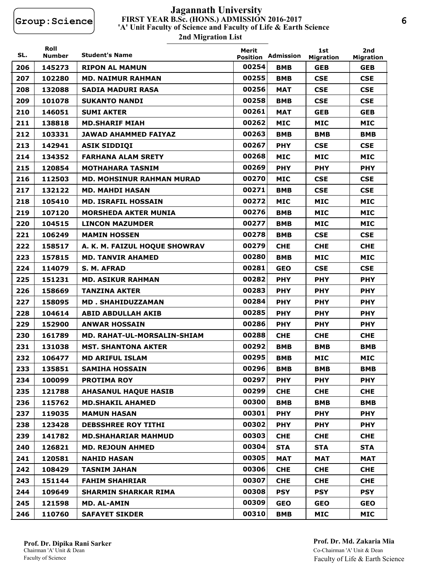## **FIRST YEAR B.Sc. (HONS.) ADMISSION 2016-2017 2nd Migration List 'A' Unit Faculty of Science and Faculty of Life & Earth Science Jagannath University**

| SL. | Roll<br>Number | <b>Student's Name</b>              | Merit<br><b>Position</b> | Admission  | 1st<br><b>Migration</b> | 2nd<br><b>Migration</b> |
|-----|----------------|------------------------------------|--------------------------|------------|-------------------------|-------------------------|
| 206 | 145273         | <b>RIPON AL MAMUN</b>              | 00254                    | <b>BMB</b> | <b>GEB</b>              | <b>GEB</b>              |
| 207 | 102280         | <b>MD. NAIMUR RAHMAN</b>           | 00255                    | <b>BMB</b> | <b>CSE</b>              | <b>CSE</b>              |
| 208 | 132088         | <b>SADIA MADURI RASA</b>           | 00256                    | <b>MAT</b> | <b>CSE</b>              | <b>CSE</b>              |
| 209 | 101078         | <b>SUKANTO NANDI</b>               | 00258                    | <b>BMB</b> | <b>CSE</b>              | <b>CSE</b>              |
| 210 | 146051         | <b>SUMI AKTER</b>                  | 00261                    | <b>MAT</b> | <b>GEB</b>              | <b>GEB</b>              |
| 211 | 138818         | <b>MD.SHARIF MIAH</b>              | 00262                    | <b>MIC</b> | <b>MIC</b>              | <b>MIC</b>              |
| 212 | 103331         | <b>JAWAD AHAMMED FAIYAZ</b>        | 00263                    | <b>BMB</b> | <b>BMB</b>              | <b>BMB</b>              |
| 213 | 142941         | <b>ASIK SIDDIQI</b>                | 00267                    | <b>PHY</b> | <b>CSE</b>              | <b>CSE</b>              |
| 214 | 134352         | <b>FARHANA ALAM SRETY</b>          | 00268                    | <b>MIC</b> | <b>MIC</b>              | <b>MIC</b>              |
| 215 | 120854         | <b>MOTHAHARA TASNIM</b>            | 00269                    | <b>PHY</b> | <b>PHY</b>              | <b>PHY</b>              |
| 216 | 112503         | <b>MD. MOHSINUR RAHMAN MURAD</b>   | 00270                    | <b>MIC</b> | <b>CSE</b>              | <b>CSE</b>              |
| 217 | 132122         | <b>MD. MAHDI HASAN</b>             | 00271                    | <b>BMB</b> | <b>CSE</b>              | <b>CSE</b>              |
| 218 | 105410         | <b>MD. ISRAFIL HOSSAIN</b>         | 00272                    | <b>MIC</b> | <b>MIC</b>              | <b>MIC</b>              |
| 219 | 107120         | <b>MORSHEDA AKTER MUNIA</b>        | 00276                    | <b>BMB</b> | <b>MIC</b>              | <b>MIC</b>              |
| 220 | 104515         | <b>LINCON MAZUMDER</b>             | 00277                    | <b>BMB</b> | <b>MIC</b>              | <b>MIC</b>              |
| 221 | 106249         | <b>MAMIN HOSSEN</b>                | 00278                    | <b>BMB</b> | <b>CSE</b>              | <b>CSE</b>              |
| 222 | 158517         | A. K. M. FAIZUL HOQUE SHOWRAV      | 00279                    | <b>CHE</b> | <b>CHE</b>              | <b>CHE</b>              |
| 223 | 157815         | <b>MD. TANVIR AHAMED</b>           | 00280                    | <b>BMB</b> | <b>MIC</b>              | <b>MIC</b>              |
| 224 | 114079         | S. M. AFRAD                        | 00281                    | <b>GEO</b> | <b>CSE</b>              | <b>CSE</b>              |
| 225 | 151231         | <b>MD. ASIKUR RAHMAN</b>           | 00282                    | <b>PHY</b> | <b>PHY</b>              | <b>PHY</b>              |
| 226 | 158669         | <b>TANZINA AKTER</b>               | 00283                    | <b>PHY</b> | <b>PHY</b>              | <b>PHY</b>              |
| 227 | 158095         | <b>MD. SHAHIDUZZAMAN</b>           | 00284                    | <b>PHY</b> | <b>PHY</b>              | <b>PHY</b>              |
| 228 | 104614         | <b>ABID ABDULLAH AKIB</b>          | 00285                    | <b>PHY</b> | <b>PHY</b>              | <b>PHY</b>              |
| 229 | 152900         | <b>ANWAR HOSSAIN</b>               | 00286                    | <b>PHY</b> | <b>PHY</b>              | <b>PHY</b>              |
| 230 | 161789         | <b>MD. RAHAT-UL-MORSALIN-SHIAM</b> | 00288                    | <b>CHE</b> | <b>CHE</b>              | <b>CHE</b>              |
| 231 | 131038         | <b>MST. SHANTONA AKTER</b>         | 00292                    | <b>BMB</b> | <b>BMB</b>              | <b>BMB</b>              |
| 232 | 106477         | <b>MD ARIFUL ISLAM</b>             | 00295                    | <b>BMB</b> | <b>MIC</b>              | <b>MIC</b>              |
| 233 | 135851         | <b>SAMIHA HOSSAIN</b>              | 00296                    | <b>BMB</b> | <b>BMB</b>              | BMB                     |
| 234 | 100099         | <b>PROTIMA ROY</b>                 | 00297                    | <b>PHY</b> | <b>PHY</b>              | <b>PHY</b>              |
| 235 | 121788         | <b>AHASANUL HAQUE HASIB</b>        | 00299                    | <b>CHE</b> | <b>CHE</b>              | <b>CHE</b>              |
| 236 | 115762         | <b>MD.SHAKIL AHAMED</b>            | 00300                    | <b>BMB</b> | <b>BMB</b>              | <b>BMB</b>              |
| 237 | 119035         | <b>MAMUN HASAN</b>                 | 00301                    | <b>PHY</b> | <b>PHY</b>              | <b>PHY</b>              |
| 238 | 123428         | <b>DEBSSHREE ROY TITHI</b>         | 00302                    | <b>PHY</b> | <b>PHY</b>              | <b>PHY</b>              |
| 239 | 141782         | <b>MD.SHAHARIAR MAHMUD</b>         | 00303                    | <b>CHE</b> | <b>CHE</b>              | <b>CHE</b>              |
| 240 | 126821         | <b>MD. REJOUN AHMED</b>            | 00304                    | <b>STA</b> | <b>STA</b>              | <b>STA</b>              |
| 241 | 120581         | <b>NAHID HASAN</b>                 | 00305                    | <b>MAT</b> | <b>MAT</b>              | <b>MAT</b>              |
| 242 | 108429         | <b>TASNIM JAHAN</b>                | 00306                    | <b>CHE</b> | <b>CHE</b>              | <b>CHE</b>              |
| 243 | 151144         | <b>FAHIM SHAHRIAR</b>              | 00307                    | <b>CHE</b> | <b>CHE</b>              | <b>CHE</b>              |
| 244 | 109649         | <b>SHARMIN SHARKAR RIMA</b>        | 00308                    | <b>PSY</b> | <b>PSY</b>              | <b>PSY</b>              |
| 245 | 121598         | <b>MD. AL-AMIN</b>                 | 00309                    | <b>GEO</b> | <b>GEO</b>              | <b>GEO</b>              |
| 246 | 110760         | <b>SAFAYET SIKDER</b>              | 00310                    | <b>BMB</b> | <b>MIC</b>              | <b>MIC</b>              |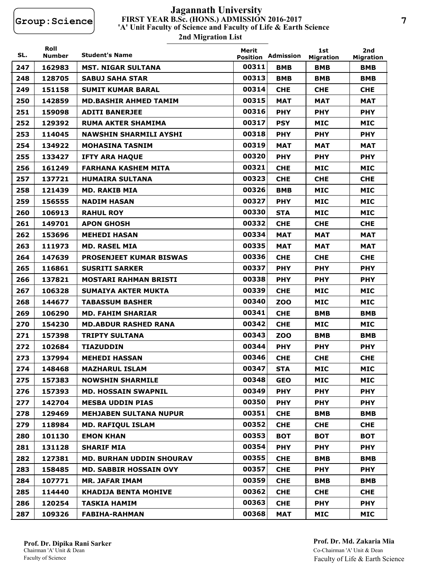## **FIRST YEAR B.Sc. (HONS.) ADMISSION 2016-2017 2nd Migration List 'A' Unit Faculty of Science and Faculty of Life & Earth Science Jagannath University**

| SL. | Roll<br><b>Number</b> | <b>Student's Name</b>           | Merit<br><b>Position</b> | Admission  | 1st<br><b>Migration</b> | 2nd<br><b>Migration</b> |
|-----|-----------------------|---------------------------------|--------------------------|------------|-------------------------|-------------------------|
| 247 | 162983                | <b>MST. NIGAR SULTANA</b>       | 00311                    | <b>BMB</b> | <b>BMB</b>              | <b>BMB</b>              |
| 248 | 128705                | <b>SABUJ SAHA STAR</b>          | 00313                    | <b>BMB</b> | <b>BMB</b>              | <b>BMB</b>              |
| 249 | 151158                | <b>SUMIT KUMAR BARAL</b>        | 00314                    | <b>CHE</b> | <b>CHE</b>              | <b>CHE</b>              |
| 250 | 142859                | <b>MD.BASHIR AHMED TAMIM</b>    | 00315                    | <b>MAT</b> | <b>MAT</b>              | <b>MAT</b>              |
| 251 | 159098                | <b>ADITI BANERJEE</b>           | 00316                    | <b>PHY</b> | <b>PHY</b>              | <b>PHY</b>              |
| 252 | 129392                | <b>RUMA AKTER SHAMIMA</b>       | 00317                    | <b>PSY</b> | <b>MIC</b>              | <b>MIC</b>              |
| 253 | 114045                | <b>NAWSHIN SHARMILI AYSHI</b>   | 00318                    | <b>PHY</b> | <b>PHY</b>              | <b>PHY</b>              |
| 254 | 134922                | <b>MOHASINA TASNIM</b>          | 00319                    | <b>MAT</b> | <b>MAT</b>              | <b>MAT</b>              |
| 255 | 133427                | <b>IFTY ARA HAQUE</b>           | 00320                    | <b>PHY</b> | <b>PHY</b>              | <b>PHY</b>              |
| 256 | 161249                | <b>FARHANA KASHEM MITA</b>      | 00321                    | <b>CHE</b> | <b>MIC</b>              | <b>MIC</b>              |
| 257 | 137721                | <b>HUMAIRA SULTANA</b>          | 00323                    | <b>CHE</b> | <b>CHE</b>              | <b>CHE</b>              |
| 258 | 121439                | <b>MD. RAKIB MIA</b>            | 00326                    | <b>BMB</b> | <b>MIC</b>              | <b>MIC</b>              |
| 259 | 156555                | <b>NADIM HASAN</b>              | 00327                    | <b>PHY</b> | <b>MIC</b>              | <b>MIC</b>              |
| 260 | 106913                | <b>RAHUL ROY</b>                | 00330                    | <b>STA</b> | <b>MIC</b>              | <b>MIC</b>              |
| 261 | 149701                | <b>APON GHOSH</b>               | 00332                    | <b>CHE</b> | <b>CHE</b>              | <b>CHE</b>              |
| 262 | 153696                | <b>MEHEDI HASAN</b>             | 00334                    | <b>MAT</b> | <b>MAT</b>              | <b>MAT</b>              |
| 263 | 111973                | <b>MD. RASEL MIA</b>            | 00335                    | <b>MAT</b> | <b>MAT</b>              | <b>MAT</b>              |
| 264 | 147639                | <b>PROSENJEET KUMAR BISWAS</b>  | 00336                    | <b>CHE</b> | <b>CHE</b>              | <b>CHE</b>              |
| 265 | 116861                | <b>SUSRITI SARKER</b>           | 00337                    | <b>PHY</b> | <b>PHY</b>              | <b>PHY</b>              |
| 266 | 137821                | <b>MOSTARI RAHMAN BRISTI</b>    | 00338                    | <b>PHY</b> | <b>PHY</b>              | <b>PHY</b>              |
| 267 | 106328                | <b>SUMAIYA AKTER MUKTA</b>      | 00339                    | <b>CHE</b> | <b>MIC</b>              | <b>MIC</b>              |
| 268 | 144677                | <b>TABASSUM BASHER</b>          | 00340                    | <b>ZOO</b> | <b>MIC</b>              | <b>MIC</b>              |
| 269 | 106290                | <b>MD. FAHIM SHARIAR</b>        | 00341                    | <b>CHE</b> | <b>BMB</b>              | <b>BMB</b>              |
| 270 | 154230                | <b>MD.ABDUR RASHED RANA</b>     | 00342                    | <b>CHE</b> | <b>MIC</b>              | <b>MIC</b>              |
| 271 | 157398                | <b>TRIPTY SULTANA</b>           | 00343                    | <b>ZOO</b> | <b>BMB</b>              | <b>BMB</b>              |
| 272 | 102684                | <b>TIAZUDDIN</b>                | 00344                    | <b>PHY</b> | <b>PHY</b>              | <b>PHY</b>              |
| 273 | 137994                | <b>MEHEDI HASSAN</b>            | 00346                    | <b>CHE</b> | <b>CHE</b>              | <b>CHE</b>              |
| 274 | 148468                | <b>MAZHARUL ISLAM</b>           | 00347                    | <b>STA</b> | <b>MIC</b>              | <b>MIC</b>              |
| 275 | 157383                | <b>NOWSHIN SHARMILE</b>         | 00348                    | <b>GEO</b> | <b>MIC</b>              | <b>MIC</b>              |
| 276 | 157393                | <b>MD. HOSSAIN SWAPNIL</b>      | 00349                    | <b>PHY</b> | <b>PHY</b>              | <b>PHY</b>              |
| 277 | 142704                | <b>MESBA UDDIN PIAS</b>         | 00350                    | <b>PHY</b> | <b>PHY</b>              | <b>PHY</b>              |
| 278 | 129469                | <b>MEHJABEN SULTANA NUPUR</b>   | 00351                    | <b>CHE</b> | <b>BMB</b>              | <b>BMB</b>              |
| 279 | 118984                | <b>MD. RAFIQUL ISLAM</b>        | 00352                    | <b>CHE</b> | <b>CHE</b>              | <b>CHE</b>              |
| 280 | 101130                | <b>EMON KHAN</b>                | 00353                    | <b>BOT</b> | <b>BOT</b>              | <b>BOT</b>              |
| 281 | 131128                | <b>SHARIF MIA</b>               | 00354                    | <b>PHY</b> | <b>PHY</b>              | <b>PHY</b>              |
| 282 | 127381                | <b>MD. BURHAN UDDIN SHOURAV</b> | 00355                    | <b>CHE</b> | <b>BMB</b>              | <b>BMB</b>              |
| 283 | 158485                | <b>MD. SABBIR HOSSAIN OVY</b>   | 00357                    | <b>CHE</b> | <b>PHY</b>              | <b>PHY</b>              |
| 284 | 107771                | <b>MR. JAFAR IMAM</b>           | 00359                    | <b>CHE</b> | <b>BMB</b>              | BMB                     |
| 285 | 114440                | <b>KHADIJA BENTA MOHIVE</b>     | 00362                    | <b>CHE</b> | <b>CHE</b>              | <b>CHE</b>              |
| 286 | 120254                | <b>TASKIA HAMIM</b>             | 00363                    | <b>CHE</b> | <b>PHY</b>              | <b>PHY</b>              |
| 287 | 109326                | <b>FABIHA-RAHMAN</b>            | 00368                    | <b>MAT</b> | <b>MIC</b>              | <b>MIC</b>              |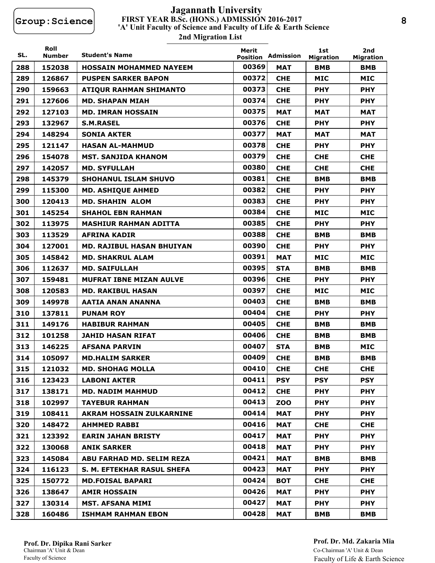# **FIRST YEAR B.Sc. (HONS.) ADMISSION 2016-2017 2nd Migration List 'A' Unit Faculty of Science and Faculty of Life & Earth Science Jagannath University**

| SL. | Roll<br>Number | <b>Student's Name</b>            | Merit<br><b>Position</b> | Admission  | 1st<br><b>Migration</b> | 2nd<br><b>Migration</b> |
|-----|----------------|----------------------------------|--------------------------|------------|-------------------------|-------------------------|
| 288 | 152038         | <b>HOSSAIN MOHAMMED NAYEEM</b>   | 00369                    | <b>MAT</b> | <b>BMB</b>              | <b>BMB</b>              |
| 289 | 126867         | <b>PUSPEN SARKER BAPON</b>       | 00372                    | <b>CHE</b> | <b>MIC</b>              | <b>MIC</b>              |
| 290 | 159663         | <b>ATIQUR RAHMAN SHIMANTO</b>    | 00373                    | <b>CHE</b> | <b>PHY</b>              | <b>PHY</b>              |
| 291 | 127606         | <b>MD. SHAPAN MIAH</b>           | 00374                    | <b>CHE</b> | <b>PHY</b>              | <b>PHY</b>              |
| 292 | 127103         | <b>MD. IMRAN HOSSAIN</b>         | 00375                    | <b>MAT</b> | <b>MAT</b>              | <b>MAT</b>              |
| 293 | 132967         | <b>S.M.RASEL</b>                 | 00376                    | <b>CHE</b> | <b>PHY</b>              | <b>PHY</b>              |
| 294 | 148294         | <b>SONIA AKTER</b>               | 00377                    | <b>MAT</b> | <b>MAT</b>              | <b>MAT</b>              |
| 295 | 121147         | <b>HASAN AL-MAHMUD</b>           | 00378                    | <b>CHE</b> | <b>PHY</b>              | <b>PHY</b>              |
| 296 | 154078         | <b>MST. SANJIDA KHANOM</b>       | 00379                    | <b>CHE</b> | <b>CHE</b>              | <b>CHE</b>              |
| 297 | 142057         | <b>MD. SYFULLAH</b>              | 00380                    | <b>CHE</b> | <b>CHE</b>              | <b>CHE</b>              |
| 298 | 145379         | <b>SHOHANUL ISLAM SHUVO</b>      | 00381                    | <b>CHE</b> | <b>BMB</b>              | <b>BMB</b>              |
| 299 | 115300         | <b>MD. ASHIQUE AHMED</b>         | 00382                    | <b>CHE</b> | <b>PHY</b>              | <b>PHY</b>              |
| 300 | 120413         | <b>MD. SHAHIN ALOM</b>           | 00383                    | <b>CHE</b> | <b>PHY</b>              | <b>PHY</b>              |
| 301 | 145254         | <b>SHAHOL EBN RAHMAN</b>         | 00384                    | <b>CHE</b> | <b>MIC</b>              | <b>MIC</b>              |
| 302 | 113975         | <b>MASHIUR RAHMAN ADITTA</b>     | 00385                    | <b>CHE</b> | <b>PHY</b>              | <b>PHY</b>              |
| 303 | 113529         | <b>AFRINA KADIR</b>              | 00388                    | <b>CHE</b> | <b>BMB</b>              | <b>BMB</b>              |
| 304 | 127001         | <b>MD. RAJIBUL HASAN BHUIYAN</b> | 00390                    | <b>CHE</b> | <b>PHY</b>              | <b>PHY</b>              |
| 305 | 145842         | <b>MD. SHAKRUL ALAM</b>          | 00391                    | <b>MAT</b> | <b>MIC</b>              | <b>MIC</b>              |
| 306 | 112637         | <b>MD. SAIFULLAH</b>             | 00395                    | <b>STA</b> | <b>BMB</b>              | <b>BMB</b>              |
| 307 | 159481         | <b>MUFRAT IBNE MIZAN AULVE</b>   | 00396                    | <b>CHE</b> | <b>PHY</b>              | <b>PHY</b>              |
| 308 | 120583         | <b>MD. RAKIBUL HASAN</b>         | 00397                    | <b>CHE</b> | <b>MIC</b>              | <b>MIC</b>              |
| 309 | 149978         | AATIA ANAN ANANNA                | 00403                    | <b>CHE</b> | <b>BMB</b>              | <b>BMB</b>              |
| 310 | 137811         | <b>PUNAM ROY</b>                 | 00404                    | <b>CHE</b> | <b>PHY</b>              | <b>PHY</b>              |
| 311 | 149176         | <b>HABIBUR RAHMAN</b>            | 00405                    | <b>CHE</b> | <b>BMB</b>              | <b>BMB</b>              |
| 312 | 101258         | <b>JAHID HASAN RIFAT</b>         | 00406                    | <b>CHE</b> | <b>BMB</b>              | <b>BMB</b>              |
| 313 | 146225         | <b>AFSANA PARVIN</b>             | 00407                    | <b>STA</b> | <b>BMB</b>              | <b>MIC</b>              |
| 314 | 105097         | <b>MD.HALIM SARKER</b>           | 00409                    | <b>CHE</b> | <b>BMB</b>              | <b>BMB</b>              |
| 315 | 121032         | <b>MD. SHOHAG MOLLA</b>          | 00410                    | <b>CHE</b> | <b>CHE</b>              | <b>CHE</b>              |
| 316 | 123423         | <b>LABONI AKTER</b>              | 00411                    | <b>PSY</b> | <b>PSY</b>              | <b>PSY</b>              |
| 317 | 138171         | <b>MD. NADIM MAHMUD</b>          | 00412                    | <b>CHE</b> | <b>PHY</b>              | <b>PHY</b>              |
| 318 | 102997         | <b>TAYEBUR RAHMAN</b>            | 00413                    | <b>ZOO</b> | <b>PHY</b>              | <b>PHY</b>              |
| 319 | 108411         | AKRAM HOSSAIN ZULKARNINE         | 00414                    | MAT        | <b>PHY</b>              | <b>PHY</b>              |
| 320 | 148472         | <b>AHMMED RABBI</b>              | 00416                    | <b>MAT</b> | <b>CHE</b>              | <b>CHE</b>              |
| 321 | 123392         | <b>EARIN JAHAN BRISTY</b>        | 00417                    | <b>MAT</b> | <b>PHY</b>              | <b>PHY</b>              |
| 322 | 130068         | <b>ANIK SARKER</b>               | 00418                    | MAT        | <b>PHY</b>              | <b>PHY</b>              |
| 323 | 145084         | ABU FARHAD MD. SELIM REZA        | 00421                    | MAT        | BMB                     | <b>BMB</b>              |
| 324 | 116123         | S. M. EFTEKHAR RASUL SHEFA       | 00423                    | MAT        | <b>PHY</b>              | <b>PHY</b>              |
| 325 | 150772         | <b>MD.FOISAL BAPARI</b>          | 00424                    | <b>BOT</b> | <b>CHE</b>              | <b>CHE</b>              |
| 326 | 138647         | <b>AMIR HOSSAIN</b>              | 00426                    | <b>MAT</b> | <b>PHY</b>              | <b>PHY</b>              |
| 327 | 130314         | <b>MST. AFSANA MIMI</b>          | 00427                    | MAT        | <b>PHY</b>              | <b>PHY</b>              |
| 328 | 160486         | <b>ISHMAM RAHMAN EBON</b>        | 00428                    | MAT        | <b>BMB</b>              | <b>BMB</b>              |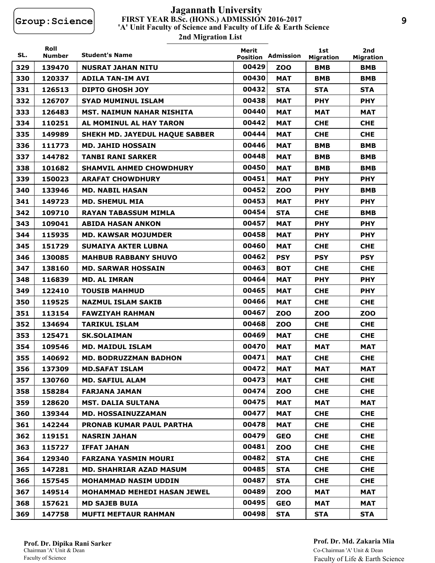## **FIRST YEAR B.Sc. (HONS.) ADMISSION 2016-2017 2nd Migration List 'A' Unit Faculty of Science and Faculty of Life & Earth Science Jagannath University**

| SL. | Roll<br><b>Number</b> | <b>Student's Name</b>            | Merit<br><b>Position</b> | Admission  | 1st<br><b>Migration</b> | 2nd<br><b>Migration</b> |
|-----|-----------------------|----------------------------------|--------------------------|------------|-------------------------|-------------------------|
| 329 | 139470                | <b>NUSRAT JAHAN NITU</b>         | 00429                    | ZOO        | <b>BMB</b>              | <b>BMB</b>              |
| 330 | 120337                | <b>ADILA TAN-IM AVI</b>          | 00430                    | <b>MAT</b> | <b>BMB</b>              | <b>BMB</b>              |
| 331 | 126513                | <b>DIPTO GHOSH JOY</b>           | 00432                    | <b>STA</b> | <b>STA</b>              | <b>STA</b>              |
| 332 | 126707                | <b>SYAD MUMINUL ISLAM</b>        | 00438                    | <b>MAT</b> | <b>PHY</b>              | <b>PHY</b>              |
| 333 | 126483                | <b>MST. NAIMUN NAHAR NISHITA</b> | 00440                    | <b>MAT</b> | <b>MAT</b>              | <b>MAT</b>              |
| 334 | 110251                | AL MOMINUL AL HAY TARON          | 00442                    | <b>MAT</b> | <b>CHE</b>              | <b>CHE</b>              |
| 335 | 149989                | SHEKH MD. JAYEDUL HAQUE SABBER   | 00444                    | <b>MAT</b> | <b>CHE</b>              | <b>CHE</b>              |
| 336 | 111773                | <b>MD. JAHID HOSSAIN</b>         | 00446                    | <b>MAT</b> | <b>BMB</b>              | <b>BMB</b>              |
| 337 | 144782                | <b>TANBI RANI SARKER</b>         | 00448                    | <b>MAT</b> | <b>BMB</b>              | BMB                     |
| 338 | 101682                | <b>SHAMVIL AHMED CHOWDHURY</b>   | 00450                    | <b>MAT</b> | <b>BMB</b>              | <b>BMB</b>              |
| 339 | 150023                | <b>ARAFAT CHOWDHURY</b>          | 00451                    | <b>MAT</b> | <b>PHY</b>              | <b>PHY</b>              |
| 340 | 133946                | <b>MD. NABIL HASAN</b>           | 00452                    | <b>ZOO</b> | <b>PHY</b>              | BMB                     |
| 341 | 149723                | <b>MD. SHEMUL MIA</b>            | 00453                    | <b>MAT</b> | <b>PHY</b>              | <b>PHY</b>              |
| 342 | 109710                | <b>RAYAN TABASSUM MIMLA</b>      | 00454                    | <b>STA</b> | <b>CHE</b>              | <b>BMB</b>              |
| 343 | 109041                | <b>ABIDA HASAN ANKON</b>         | 00457                    | <b>MAT</b> | <b>PHY</b>              | <b>PHY</b>              |
| 344 | 115935                | <b>MD. KAWSAR MOJUMDER</b>       | 00458                    | <b>MAT</b> | <b>PHY</b>              | <b>PHY</b>              |
| 345 | 151729                | <b>SUMAIYA AKTER LUBNA</b>       | 00460                    | <b>MAT</b> | <b>CHE</b>              | <b>CHE</b>              |
| 346 | 130085                | <b>MAHBUB RABBANY SHUVO</b>      | 00462                    | <b>PSY</b> | <b>PSY</b>              | <b>PSY</b>              |
| 347 | 138160                | <b>MD. SARWAR HOSSAIN</b>        | 00463                    | <b>BOT</b> | <b>CHE</b>              | <b>CHE</b>              |
| 348 | 116839                | <b>MD. AL IMRAN</b>              | 00464                    | <b>MAT</b> | <b>PHY</b>              | <b>PHY</b>              |
| 349 | 122410                | <b>TOUSIB MAHMUD</b>             | 00465                    | <b>MAT</b> | <b>CHE</b>              | <b>PHY</b>              |
| 350 | 119525                | <b>NAZMUL ISLAM SAKIB</b>        | 00466                    | <b>MAT</b> | <b>CHE</b>              | <b>CHE</b>              |
| 351 | 113154                | <b>FAWZIYAH RAHMAN</b>           | 00467                    | <b>ZOO</b> | <b>ZOO</b>              | <b>ZOO</b>              |
| 352 | 134694                | <b>TARIKUL ISLAM</b>             | 00468                    | <b>ZOO</b> | <b>CHE</b>              | <b>CHE</b>              |
| 353 | 125471                | <b>SK.SOLAIMAN</b>               | 00469                    | <b>MAT</b> | <b>CHE</b>              | <b>CHE</b>              |
| 354 | 109546                | <b>MD. MAIDUL ISLAM</b>          | 00470                    | <b>MAT</b> | <b>MAT</b>              | <b>MAT</b>              |
| 355 | 140692                | <b>MD. BODRUZZMAN BADHON</b>     | 00471                    | <b>MAT</b> | <b>CHE</b>              | <b>CHE</b>              |
| 356 | 137309                | <b>MD.SAFAT ISLAM</b>            | 00472                    | MAT        | <b>MAT</b>              | <b>MAT</b>              |
| 357 | 130760                | <b>MD. SAFIUL ALAM</b>           | 00473                    | <b>MAT</b> | <b>CHE</b>              | <b>CHE</b>              |
| 358 | 158284                | <b>FARJANA JAMAN</b>             | 00474                    | <b>ZOO</b> | <b>CHE</b>              | <b>CHE</b>              |
| 359 | 128620                | <b>MST. DALIA SULTANA</b>        | 00475                    | MAT        | <b>MAT</b>              | MAT                     |
| 360 | 139344                | <b>MD. HOSSAINUZZAMAN</b>        | 00477                    | <b>MAT</b> | <b>CHE</b>              | <b>CHE</b>              |
| 361 | 142244                | <b>PRONAB KUMAR PAUL PARTHA</b>  | 00478                    | MAT        | <b>CHE</b>              | <b>CHE</b>              |
| 362 | 119151                | <b>NASRIN JAHAN</b>              | 00479                    | <b>GEO</b> | <b>CHE</b>              | <b>CHE</b>              |
| 363 | 115727                | <b>IFFAT JAHAN</b>               | 00481                    | ZOO        | <b>CHE</b>              | <b>CHE</b>              |
| 364 | 129340                | <b>FARZANA YASMIN MOURI</b>      | 00482                    | <b>STA</b> | <b>CHE</b>              | <b>CHE</b>              |
| 365 | 147281                | <b>MD. SHAHRIAR AZAD MASUM</b>   | 00485                    | <b>STA</b> | <b>CHE</b>              | <b>CHE</b>              |
| 366 | 157545                | <b>MOHAMMAD NASIM UDDIN</b>      | 00487                    | <b>STA</b> | <b>CHE</b>              | <b>CHE</b>              |
| 367 | 149514                | MOHAMMAD MEHEDI HASAN JEWEL      | 00489                    | <b>ZOO</b> | <b>MAT</b>              | <b>MAT</b>              |
| 368 | 157621                | <b>MD SAJEB BUIA</b>             | 00495                    | <b>GEO</b> | <b>MAT</b>              | MAT                     |
| 369 | 147758                | <b>MUFTI MEFTAUR RAHMAN</b>      | 00498                    | <b>STA</b> | <b>STA</b>              | <b>STA</b>              |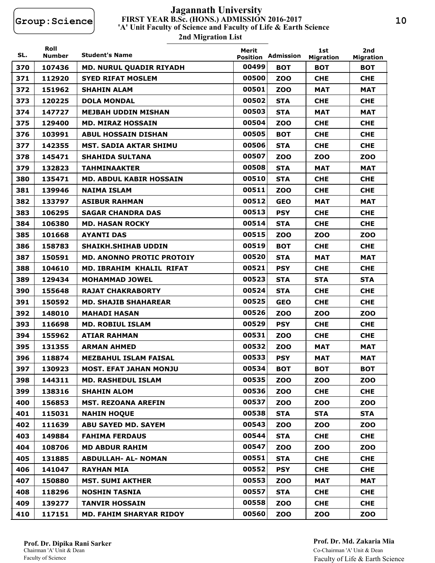# **FIRST YEAR B.Sc. (HONS.) ADMISSION 2016-2017 2nd Migration List 'A' Unit Faculty of Science and Faculty of Life & Earth Science Jagannath University**

| SL. | Roll<br>Number | <b>Student's Name</b>            | Merit<br><b>Position</b> | Admission  | 1st<br><b>Migration</b> | 2nd<br><b>Migration</b> |
|-----|----------------|----------------------------------|--------------------------|------------|-------------------------|-------------------------|
| 370 | 107436         | <b>MD. NURUL QUADIR RIYADH</b>   | 00499                    | <b>BOT</b> | <b>BOT</b>              | <b>BOT</b>              |
| 371 | 112920         | <b>SYED RIFAT MOSLEM</b>         | 00500                    | <b>ZOO</b> | <b>CHE</b>              | <b>CHE</b>              |
| 372 | 151962         | <b>SHAHIN ALAM</b>               | 00501                    | <b>ZOO</b> | <b>MAT</b>              | <b>MAT</b>              |
| 373 | 120225         | <b>DOLA MONDAL</b>               | 00502                    | <b>STA</b> | <b>CHE</b>              | <b>CHE</b>              |
| 374 | 147727         | <b>MEJBAH UDDIN MISHAN</b>       | 00503                    | <b>STA</b> | <b>MAT</b>              | <b>MAT</b>              |
| 375 | 129400         | <b>MD. MIRAZ HOSSAIN</b>         | 00504                    | <b>ZOO</b> | <b>CHE</b>              | <b>CHE</b>              |
| 376 | 103991         | <b>ABUL HOSSAIN DISHAN</b>       | 00505                    | <b>BOT</b> | <b>CHE</b>              | <b>CHE</b>              |
| 377 | 142355         | <b>MST. SADIA AKTAR SHIMU</b>    | 00506                    | <b>STA</b> | <b>CHE</b>              | <b>CHE</b>              |
| 378 | 145471         | <b>SHAHIDA SULTANA</b>           | 00507                    | <b>ZOO</b> | <b>ZOO</b>              | <b>ZOO</b>              |
| 379 | 132823         | <b>TAHMINAAKTER</b>              | 00508                    | <b>STA</b> | <b>MAT</b>              | <b>MAT</b>              |
| 380 | 135471         | MD. ABDUL KABIR HOSSAIN          | 00510                    | <b>STA</b> | <b>CHE</b>              | <b>CHE</b>              |
| 381 | 139946         | <b>NAIMA ISLAM</b>               | 00511                    | <b>ZOO</b> | <b>CHE</b>              | <b>CHE</b>              |
| 382 | 133797         | <b>ASIBUR RAHMAN</b>             | 00512                    | <b>GEO</b> | <b>MAT</b>              | <b>MAT</b>              |
| 383 | 106295         | <b>SAGAR CHANDRA DAS</b>         | 00513                    | <b>PSY</b> | <b>CHE</b>              | <b>CHE</b>              |
| 384 | 106380         | <b>MD. HASAN ROCKY</b>           | 00514                    | <b>STA</b> | <b>CHE</b>              | <b>CHE</b>              |
| 385 | 101668         | <b>AYANTI DAS</b>                | 00515                    | <b>ZOO</b> | <b>ZOO</b>              | <b>ZOO</b>              |
| 386 | 158783         | <b>SHAIKH.SHIHAB UDDIN</b>       | 00519                    | <b>BOT</b> | <b>CHE</b>              | <b>CHE</b>              |
| 387 | 150591         | <b>MD. ANONNO PROTIC PROTOIY</b> | 00520                    | <b>STA</b> | <b>MAT</b>              | <b>MAT</b>              |
| 388 | 104610         | MD. IBRAHIM KHALIL RIFAT         | 00521                    | <b>PSY</b> | <b>CHE</b>              | <b>CHE</b>              |
| 389 | 129434         | <b>MOHAMMAD JOWEL</b>            | 00523                    | <b>STA</b> | <b>STA</b>              | <b>STA</b>              |
| 390 | 155648         | <b>RAJAT CHAKRABORTY</b>         | 00524                    | <b>STA</b> | <b>CHE</b>              | <b>CHE</b>              |
| 391 | 150592         | <b>MD. SHAJIB SHAHAREAR</b>      | 00525                    | <b>GEO</b> | <b>CHE</b>              | <b>CHE</b>              |
| 392 | 148010         | <b>MAHADI HASAN</b>              | 00526                    | <b>ZOO</b> | <b>ZOO</b>              | <b>ZOO</b>              |
| 393 | 116698         | <b>MD. ROBIUL ISLAM</b>          | 00529                    | <b>PSY</b> | <b>CHE</b>              | <b>CHE</b>              |
| 394 | 155962         | <b>ATIAR RAHMAN</b>              | 00531                    | <b>ZOO</b> | <b>CHE</b>              | <b>CHE</b>              |
| 395 | 131355         | <b>ARMAN AHMED</b>               | 00532                    | <b>ZOO</b> | <b>MAT</b>              | <b>MAT</b>              |
| 396 | 118874         | <b>MEZBAHUL ISLAM FAISAL</b>     | 00533                    | <b>PSY</b> | <b>MAT</b>              | <b>MAT</b>              |
| 397 | 130923         | <b>MOST. EFAT JAHAN MONJU</b>    | 00534                    | <b>BOT</b> | <b>BOT</b>              | <b>BOT</b>              |
| 398 | 144311         | <b>MD. RASHEDUL ISLAM</b>        | 00535                    | <b>ZOO</b> | <b>ZOO</b>              | <b>ZOO</b>              |
| 399 | 138316         | <b>SHAHIN ALOM</b>               | 00536                    | ZOO        | <b>CHE</b>              | <b>CHE</b>              |
| 400 | 156853         | <b>MST. REZOANA AREFIN</b>       | 00537                    | <b>ZOO</b> | <b>ZOO</b>              | <b>ZOO</b>              |
| 401 | 115031         | <b>NAHIN HOQUE</b>               | 00538                    | <b>STA</b> | <b>STA</b>              | <b>STA</b>              |
| 402 | 111639         | <b>ABU SAYED MD. SAYEM</b>       | 00543                    | ZOO        | <b>ZOO</b>              | <b>ZOO</b>              |
| 403 | 149884         | <b>FAHIMA FERDAUS</b>            | 00544                    | <b>STA</b> | <b>CHE</b>              | <b>CHE</b>              |
| 404 | 108706         | <b>MD ABDUR RAHIM</b>            | 00547                    | <b>ZOO</b> | <b>ZOO</b>              | <b>ZOO</b>              |
| 405 | 131885         | <b>ABDULLAH- AL- NOMAN</b>       | 00551                    | <b>STA</b> | <b>CHE</b>              | <b>CHE</b>              |
| 406 | 141047         | <b>RAYHAN MIA</b>                | 00552                    | <b>PSY</b> | <b>CHE</b>              | <b>CHE</b>              |
| 407 | 150880         | <b>MST. SUMI AKTHER</b>          | 00553                    | <b>ZOO</b> | <b>MAT</b>              | <b>MAT</b>              |
| 408 | 118296         | <b>NOSHIN TASNIA</b>             | 00557                    | <b>STA</b> | <b>CHE</b>              | <b>CHE</b>              |
| 409 | 139277         | <b>TANVIR HOSSAIN</b>            | 00558                    | ZOO        | <b>CHE</b>              | <b>CHE</b>              |
| 410 | 117151         | <b>MD. FAHIM SHARYAR RIDOY</b>   | 00560                    | <b>ZOO</b> | <b>ZOO</b>              | <b>ZOO</b>              |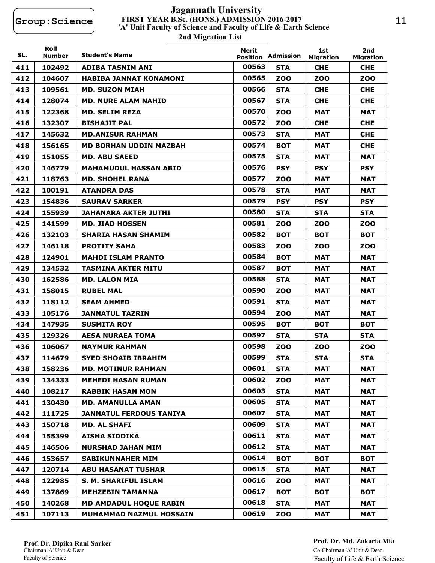# **FIRST YEAR B.Sc. (HONS.) ADMISSION 2016-2017 2nd Migration List 'A' Unit Faculty of Science and Faculty of Life & Earth Science Jagannath University**

| SL. | Roll<br><b>Number</b> | <b>Student's Name</b>          | Merit | <b>Position Admission</b> | 1st<br><b>Migration</b> | 2nd<br><b>Migration</b> |
|-----|-----------------------|--------------------------------|-------|---------------------------|-------------------------|-------------------------|
| 411 | 102492                | <b>ADIBA TASNIM ANI</b>        | 00563 | <b>STA</b>                | <b>CHE</b>              | <b>CHE</b>              |
| 412 | 104607                | HABIBA JANNAT KONAMONI         | 00565 | zoo                       | <b>ZOO</b>              | zoo                     |
| 413 | 109561                | <b>MD. SUZON MIAH</b>          | 00566 | <b>STA</b>                | <b>CHE</b>              | <b>CHE</b>              |
| 414 | 128074                | <b>MD. NURE ALAM NAHID</b>     | 00567 | <b>STA</b>                | <b>CHE</b>              | <b>CHE</b>              |
| 415 | 122368                | <b>MD. SELIM REZA</b>          | 00570 | <b>ZOO</b>                | <b>MAT</b>              | <b>MAT</b>              |
| 416 | 132307                | <b>BISHAJIT PAL</b>            | 00572 | ZOO                       | <b>CHE</b>              | <b>CHE</b>              |
| 417 | 145632                | <b>MD.ANISUR RAHMAN</b>        | 00573 | <b>STA</b>                | <b>MAT</b>              | <b>CHE</b>              |
| 418 | 156165                | <b>MD BORHAN UDDIN MAZBAH</b>  | 00574 | <b>BOT</b>                | <b>MAT</b>              | <b>CHE</b>              |
| 419 | 151055                | <b>MD. ABU SAEED</b>           | 00575 | STA                       | MAT                     | <b>MAT</b>              |
| 420 | 146779                | <b>MAHAMUDUL HASSAN ABID</b>   | 00576 | <b>PSY</b>                | <b>PSY</b>              | <b>PSY</b>              |
| 421 | 118763                | <b>MD. SHOHEL RANA</b>         | 00577 | <b>ZOO</b>                | MAT                     | MAT                     |
| 422 | 100191                | <b>ATANDRA DAS</b>             | 00578 | <b>STA</b>                | <b>MAT</b>              | <b>MAT</b>              |
| 423 | 154836                | <b>SAURAV SARKER</b>           | 00579 | <b>PSY</b>                | <b>PSY</b>              | <b>PSY</b>              |
| 424 | 155939                | <b>JAHANARA AKTER JUTHI</b>    | 00580 | <b>STA</b>                | <b>STA</b>              | <b>STA</b>              |
| 425 | 141599                | <b>MD. JIAD HOSSEN</b>         | 00581 | <b>ZOO</b>                | ZOO                     | ZOO                     |
| 426 | 132103                | <b>SHARIA HASAN SHAMIM</b>     | 00582 | <b>BOT</b>                | <b>BOT</b>              | <b>BOT</b>              |
| 427 | 146118                | <b>PROTITY SAHA</b>            | 00583 | <b>ZOO</b>                | <b>ZOO</b>              | ZOO                     |
| 428 | 124901                | <b>MAHDI ISLAM PRANTO</b>      | 00584 | <b>BOT</b>                | <b>MAT</b>              | <b>MAT</b>              |
| 429 | 134532                | <b>TASMINA AKTER MITU</b>      | 00587 | <b>BOT</b>                | MAT                     | MAT                     |
| 430 | 162586                | <b>MD. LALON MIA</b>           | 00588 | <b>STA</b>                | <b>MAT</b>              | <b>MAT</b>              |
| 431 | 158015                | <b>RUBEL MAL</b>               | 00590 | <b>ZOO</b>                | <b>MAT</b>              | <b>MAT</b>              |
| 432 | 118112                | <b>SEAM AHMED</b>              | 00591 | <b>STA</b>                | MAT                     | MAT                     |
| 433 | 105176                | <b>JANNATUL TAZRIN</b>         | 00594 | <b>ZOO</b>                | <b>MAT</b>              | MAT                     |
| 434 | 147935                | <b>SUSMITA ROY</b>             | 00595 | <b>BOT</b>                | <b>BOT</b>              | <b>BOT</b>              |
| 435 | 129326                | <b>AESA NURAEA TOMA</b>        | 00597 | <b>STA</b>                | <b>STA</b>              | <b>STA</b>              |
| 436 | 106067                | <b>NAYMUR RAHMAN</b>           | 00598 | <b>ZOO</b>                | <b>ZOO</b>              | <b>ZOO</b>              |
| 437 | 114679                | <b>SYED SHOAIB IBRAHIM</b>     | 00599 | <b>STA</b>                | <b>STA</b>              | <b>STA</b>              |
| 438 | 158236                | <b>MD. MOTINUR RAHMAN</b>      | 00601 | <b>STA</b>                | <b>MAT</b>              | MAT                     |
| 439 | 134333                | <b>MEHEDI HASAN RUMAN</b>      | 00602 | <b>ZOO</b>                | <b>MAT</b>              | <b>MAT</b>              |
| 440 | 108217                | <b>RABBIK HASAN MON</b>        | 00603 | <b>STA</b>                | <b>MAT</b>              | MAT                     |
| 441 | 130430                | <b>MD. AMANULLA AMAN</b>       | 00605 | <b>STA</b>                | <b>MAT</b>              | MAT                     |
| 442 | 111725                | <b>JANNATUL FERDOUS TANIYA</b> | 00607 | <b>STA</b>                | <b>MAT</b>              | MAT                     |
| 443 | 150718                | <b>MD. AL SHAFI</b>            | 00609 | <b>STA</b>                | <b>MAT</b>              | MAT                     |
| 444 | 155399                | <b>AISHA SIDDIKA</b>           | 00611 | <b>STA</b>                | <b>MAT</b>              | <b>MAT</b>              |
| 445 | 146506                | <b>NURSHAD JAHAN MIM</b>       | 00612 | <b>STA</b>                | <b>MAT</b>              | MAT                     |
| 446 | 153657                | <b>SABIKUNNAHER MIM</b>        | 00614 | <b>BOT</b>                | <b>BOT</b>              | вот                     |
| 447 | 120714                | <b>ABU HASANAT TUSHAR</b>      | 00615 | <b>STA</b>                | <b>MAT</b>              | MAT                     |
| 448 | 122985                | S. M. SHARIFUL ISLAM           | 00616 | ZOO                       | <b>MAT</b>              | <b>MAT</b>              |
| 449 | 137869                | <b>MEHZEBIN TAMANNA</b>        | 00617 | <b>BOT</b>                | <b>BOT</b>              | <b>BOT</b>              |
| 450 | 140268                | <b>MD AMDADUL HOQUE RABIN</b>  | 00618 | <b>STA</b>                | MAT                     | <b>MAT</b>              |
| 451 | 107113                | MUHAMMAD NAZMUL HOSSAIN        | 00619 | <b>ZOO</b>                | <b>MAT</b>              | MAT                     |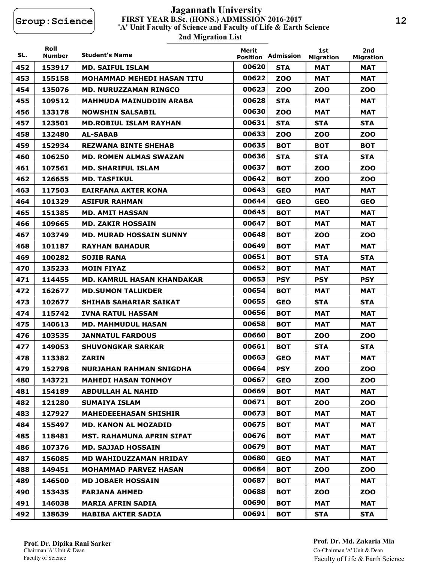## **FIRST YEAR B.Sc. (HONS.) ADMISSION 2016-2017 2nd Migration List 'A' Unit Faculty of Science and Faculty of Life & Earth Science Jagannath University**

| SL. | Roll<br>Number | <b>Student's Name</b>             | Merit<br><b>Position</b> | Admission  | 1st<br><b>Migration</b> | 2nd<br><b>Migration</b> |
|-----|----------------|-----------------------------------|--------------------------|------------|-------------------------|-------------------------|
| 452 | 153917         | <b>MD. SAIFUL ISLAM</b>           | 00620                    | <b>STA</b> | <b>MAT</b>              | <b>MAT</b>              |
| 453 | 155158         | MOHAMMAD MEHEDI HASAN TITU        | 00622                    | <b>ZOO</b> | <b>MAT</b>              | MAT                     |
| 454 | 135076         | <b>MD. NURUZZAMAN RINGCO</b>      | 00623                    | <b>ZOO</b> | <b>ZOO</b>              | <b>ZOO</b>              |
| 455 | 109512         | MAHMUDA MAINUDDIN ARABA           | 00628                    | <b>STA</b> | MAT                     | MAT                     |
| 456 | 133178         | <b>NOWSHIN SALSABIL</b>           | 00630                    | <b>ZOO</b> | <b>MAT</b>              | MAT                     |
| 457 | 123501         | <b>MD.ROBIUL ISLAM RAYHAN</b>     | 00631                    | <b>STA</b> | <b>STA</b>              | <b>STA</b>              |
| 458 | 132480         | <b>AL-SABAB</b>                   | 00633                    | <b>ZOO</b> | <b>ZOO</b>              | <b>ZOO</b>              |
| 459 | 152934         | <b>REZWANA BINTE SHEHAB</b>       | 00635                    | <b>BOT</b> | <b>BOT</b>              | <b>BOT</b>              |
| 460 | 106250         | <b>MD. ROMEN ALMAS SWAZAN</b>     | 00636                    | <b>STA</b> | <b>STA</b>              | <b>STA</b>              |
| 461 | 107561         | <b>MD. SHARIFUL ISLAM</b>         | 00637                    | <b>BOT</b> | <b>ZOO</b>              | ZOO                     |
| 462 | 126655         | <b>MD. TASFIKUL</b>               | 00642                    | <b>BOT</b> | <b>ZOO</b>              | ZOO                     |
| 463 | 117503         | EAIRFANA AKTER KONA               | 00643                    | <b>GEO</b> | MAT                     | <b>MAT</b>              |
| 464 | 101329         | <b>ASIFUR RAHMAN</b>              | 00644                    | <b>GEO</b> | <b>GEO</b>              | <b>GEO</b>              |
| 465 | 151385         | <b>MD. AMIT HASSAN</b>            | 00645                    | <b>BOT</b> | <b>MAT</b>              | <b>MAT</b>              |
| 466 | 109665         | <b>MD. ZAKIR HOSSAIN</b>          | 00647                    | <b>BOT</b> | <b>MAT</b>              | <b>MAT</b>              |
| 467 | 103749         | MD. MURAD HOSSAIN SUNNY           | 00648                    | <b>BOT</b> | <b>ZOO</b>              | ZOO                     |
| 468 | 101187         | <b>RAYHAN BAHADUR</b>             | 00649                    | <b>BOT</b> | MAT                     | MAT                     |
| 469 | 100282         | <b>SOJIB RANA</b>                 | 00651                    | <b>BOT</b> | <b>STA</b>              | <b>STA</b>              |
| 470 | 135233         | <b>MOIN FIYAZ</b>                 | 00652                    | <b>BOT</b> | <b>MAT</b>              | MAT                     |
| 471 | 114455         | <b>MD. KAMRUL HASAN KHANDAKAR</b> | 00653                    | <b>PSY</b> | <b>PSY</b>              | <b>PSY</b>              |
| 472 | 162677         | <b>MD.SUMON TALUKDER</b>          | 00654                    | <b>BOT</b> | MAT                     | MAT                     |
| 473 | 102677         | <b>SHIHAB SAHARIAR SAIKAT</b>     | 00655                    | <b>GEO</b> | <b>STA</b>              | <b>STA</b>              |
| 474 | 115742         | <b>IVNA RATUL HASSAN</b>          | 00656                    | <b>BOT</b> | <b>MAT</b>              | MAT                     |
| 475 | 140613         | <b>MD. MAHMUDUL HASAN</b>         | 00658                    | <b>BOT</b> | <b>MAT</b>              | MAT                     |
| 476 | 103535         | <b>JANNATUL FARDOUS</b>           | 00660                    | <b>BOT</b> | zoo                     | zoo                     |
| 477 | 149053         | <b>SHUVONGKAR SARKAR</b>          | 00661                    | <b>BOT</b> | <b>STA</b>              | <b>STA</b>              |
| 478 | 113382         | <b>ZARIN</b>                      | 00663                    | <b>GEO</b> | <b>MAT</b>              | MAT                     |
| 479 | 152798         | <b>NURJAHAN RAHMAN SNIGDHA</b>    | 00664                    | <b>PSY</b> | <b>ZOO</b>              | <b>ZOO</b>              |
| 480 | 143721         | <b>MAHEDI HASAN TONMOY</b>        | 00667                    | <b>GEO</b> | <b>ZOO</b>              | <b>ZOO</b>              |
| 481 | 154189         | <b>ABDULLAH AL NAHID</b>          | 00669                    | <b>BOT</b> | <b>MAT</b>              | <b>MAT</b>              |
| 482 | 121280         | <b>SUMAIYA ISLAM</b>              | 00671                    | <b>BOT</b> | <b>ZOO</b>              | <b>ZOO</b>              |
| 483 | 127927         | <b>MAHEDEEEHASAN SHISHIR</b>      | 00673                    | <b>BOT</b> | <b>MAT</b>              | <b>MAT</b>              |
| 484 | 155497         | <b>MD. KANON AL MOZADID</b>       | 00675                    | <b>BOT</b> | <b>MAT</b>              | MAT                     |
| 485 | 118481         | <b>MST. RAHAMUNA AFRIN SIFAT</b>  | 00676                    | <b>BOT</b> | <b>MAT</b>              | MAT                     |
| 486 | 107376         | <b>MD. SAJJAD HOSSAIN</b>         | 00679                    | <b>BOT</b> | <b>MAT</b>              | <b>MAT</b>              |
| 487 | 156085         | <b>MD WAHIDUZZAMAN HRIDAY</b>     | 00680                    | <b>GEO</b> | <b>MAT</b>              | <b>MAT</b>              |
| 488 | 149451         | <b>MOHAMMAD PARVEZ HASAN</b>      | 00684                    | <b>BOT</b> | <b>ZOO</b>              | <b>ZOO</b>              |
| 489 | 146500         | <b>MD JOBAER HOSSAIN</b>          | 00687                    | <b>BOT</b> | <b>MAT</b>              | MAT                     |
| 490 | 153435         | <b>FARJANA AHMED</b>              | 00688                    | <b>BOT</b> | <b>ZOO</b>              | <b>ZOO</b>              |
| 491 | 146038         | <b>MARIA AFRIN SADIA</b>          | 00690                    | <b>BOT</b> | <b>MAT</b>              | <b>MAT</b>              |
| 492 | 138639         | <b>HABIBA AKTER SADIA</b>         | 00691                    | <b>BOT</b> | <b>STA</b>              | <b>STA</b>              |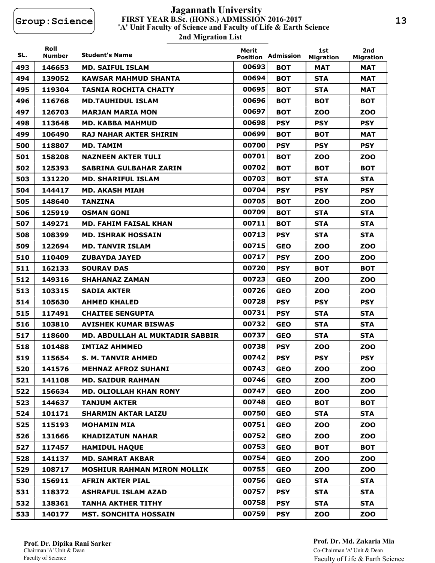# **FIRST YEAR B.Sc. (HONS.) ADMISSION 2016-2017 2nd Migration List 'A' Unit Faculty of Science and Faculty of Life & Earth Science Jagannath University**

| SL. | Roll<br>Number | <b>Student's Name</b>                  | Merit<br><b>Position</b> | Admission  | 1st<br><b>Migration</b> | 2nd<br><b>Migration</b> |
|-----|----------------|----------------------------------------|--------------------------|------------|-------------------------|-------------------------|
| 493 | 146653         | <b>MD. SAIFUL ISLAM</b>                | 00693                    | <b>BOT</b> | <b>MAT</b>              | <b>MAT</b>              |
| 494 | 139052         | KAWSAR MAHMUD SHANTA                   | 00694                    | <b>BOT</b> | <b>STA</b>              | MAT                     |
| 495 | 119304         | <b>TASNIA ROCHITA CHAITY</b>           | 00695                    | <b>BOT</b> | <b>STA</b>              | <b>MAT</b>              |
| 496 | 116768         | <b>MD.TAUHIDUL ISLAM</b>               | 00696                    | <b>BOT</b> | <b>BOT</b>              | вот                     |
| 497 | 126703         | <b>MARJAN MARIA MON</b>                | 00697                    | <b>BOT</b> | <b>ZOO</b>              | zoo                     |
| 498 | 113648         | <b>MD. KABBA MAHMUD</b>                | 00698                    | <b>PSY</b> | <b>PSY</b>              | <b>PSY</b>              |
| 499 | 106490         | RAJ NAHAR AKTER SHIRIN                 | 00699                    | <b>BOT</b> | <b>BOT</b>              | <b>MAT</b>              |
| 500 | 118807         | <b>MD. TAMIM</b>                       | 00700                    | <b>PSY</b> | <b>PSY</b>              | <b>PSY</b>              |
| 501 | 158208         | <b>NAZNEEN AKTER TULI</b>              | 00701                    | <b>BOT</b> | zoo                     | zoo                     |
| 502 | 125393         | <b>SABRINA GULBAHAR ZARIN</b>          | 00702                    | <b>BOT</b> | <b>BOT</b>              | <b>BOT</b>              |
| 503 | 131220         | <b>MD. SHARIFUL ISLAM</b>              | 00703                    | <b>BOT</b> | <b>STA</b>              | <b>STA</b>              |
| 504 | 144417         | MD. AKASH MIAH                         | 00704                    | <b>PSY</b> | <b>PSY</b>              | <b>PSY</b>              |
| 505 | 148640         | <b>TANZINA</b>                         | 00705                    | <b>BOT</b> | <b>ZOO</b>              | ZOO                     |
| 506 | 125919         | <b>OSMAN GONI</b>                      | 00709                    | <b>BOT</b> | <b>STA</b>              | <b>STA</b>              |
| 507 | 149271         | <b>MD. FAHIM FAISAL KHAN</b>           | 00711                    | <b>BOT</b> | <b>STA</b>              | <b>STA</b>              |
| 508 | 108399         | <b>MD. ISHRAK HOSSAIN</b>              | 00713                    | <b>PSY</b> | <b>STA</b>              | <b>STA</b>              |
| 509 | 122694         | <b>MD. TANVIR ISLAM</b>                | 00715                    | <b>GEO</b> | <b>ZOO</b>              | <b>ZOO</b>              |
| 510 | 110409         | <b>ZUBAYDA JAYED</b>                   | 00717                    | <b>PSY</b> | <b>ZOO</b>              | ZOO                     |
| 511 | 162133         | <b>SOURAV DAS</b>                      | 00720                    | <b>PSY</b> | <b>BOT</b>              | <b>BOT</b>              |
| 512 | 149316         | <b>SHAHANAZ ZAMAN</b>                  | 00723                    | <b>GEO</b> | <b>ZOO</b>              | <b>ZOO</b>              |
| 513 | 103315         | <b>SADIA AKTER</b>                     | 00726                    | <b>GEO</b> | <b>ZOO</b>              | ZOO                     |
| 514 | 105630         | <b>AHMED KHALED</b>                    | 00728                    | <b>PSY</b> | <b>PSY</b>              | <b>PSY</b>              |
| 515 | 117491         | <b>CHAITEE SENGUPTA</b>                | 00731                    | <b>PSY</b> | <b>STA</b>              | <b>STA</b>              |
| 516 | 103810         | <b>AVISHEK KUMAR BISWAS</b>            | 00732                    | <b>GEO</b> | <b>STA</b>              | <b>STA</b>              |
| 517 | 118600         | <b>MD. ABDULLAH AL MUKTADIR SABBIR</b> | 00737                    | <b>GEO</b> | <b>STA</b>              | <b>STA</b>              |
| 518 | 101488         | <b>IMTIAZ AHMMED</b>                   | 00738                    | <b>PSY</b> | <b>ZOO</b>              | <b>ZOO</b>              |
| 519 | 115654         | S. M. TANVIR AHMED                     | 00742                    | <b>PSY</b> | <b>PSY</b>              | <b>PSY</b>              |
| 520 | 141576         | <b>MEHNAZ AFROZ SUHANI</b>             | 00743                    | <b>GEO</b> | <b>ZOO</b>              | <b>ZOO</b>              |
| 521 | 141108         | <b>MD. SAIDUR RAHMAN</b>               | 00746                    | <b>GEO</b> | <b>ZOO</b>              | <b>ZOO</b>              |
| 522 | 156634         | <b>MD. OLIOLLAH KHAN RONY</b>          | 00747                    | <b>GEO</b> | <b>ZOO</b>              | <b>ZOO</b>              |
| 523 | 144637         | <b>TANJUM AKTER</b>                    | 00748                    | <b>GEO</b> | <b>BOT</b>              | <b>BOT</b>              |
| 524 | 101171         | <b>SHARMIN AKTAR LAIZU</b>             | 00750                    | <b>GEO</b> | <b>STA</b>              | <b>STA</b>              |
| 525 | 115193         | <b>MOHAMIN MIA</b>                     | 00751                    | <b>GEO</b> | <b>ZOO</b>              | <b>ZOO</b>              |
| 526 | 131666         | <b>KHADIZATUN NAHAR</b>                | 00752                    | <b>GEO</b> | <b>ZOO</b>              | <b>ZOO</b>              |
| 527 | 117457         | <b>HAMIDUL HAQUE</b>                   | 00753                    | <b>GEO</b> | <b>BOT</b>              | <b>BOT</b>              |
| 528 | 141137         | <b>MD. SAMRAT AKBAR</b>                | 00754                    | <b>GEO</b> | ZOO                     | <b>ZOO</b>              |
| 529 | 108717         | <b>MOSHIUR RAHMAN MIRON MOLLIK</b>     | 00755                    | <b>GEO</b> | <b>ZOO</b>              | <b>ZOO</b>              |
| 530 | 156911         | <b>AFRIN AKTER PIAL</b>                | 00756                    | <b>GEO</b> | <b>STA</b>              | <b>STA</b>              |
| 531 | 118372         | <b>ASHRAFUL ISLAM AZAD</b>             | 00757                    | <b>PSY</b> | <b>STA</b>              | <b>STA</b>              |
| 532 | 138361         | <b>TANHA AKTHER TITHY</b>              | 00758                    | <b>PSY</b> | <b>STA</b>              | <b>STA</b>              |
| 533 | 140177         | <b>MST. SONCHITA HOSSAIN</b>           | 00759                    | <b>PSY</b> | ZOO                     | ZOO                     |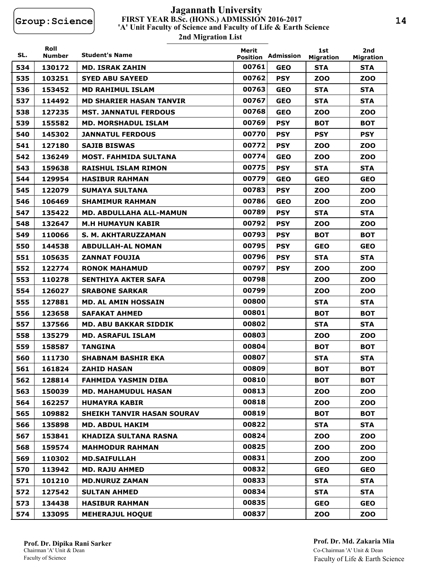# **FIRST YEAR B.Sc. (HONS.) ADMISSION 2016-2017 2nd Migration List 'A' Unit Faculty of Science and Faculty of Life & Earth Science Jagannath University**

| SL. | Roll<br><b>Number</b> | <b>Student's Name</b>             | Merit<br><b>Position</b> | Admission  | 1st<br><b>Migration</b> | 2nd<br><b>Migration</b> |
|-----|-----------------------|-----------------------------------|--------------------------|------------|-------------------------|-------------------------|
| 534 | 130172                | <b>MD. ISRAK ZAHIN</b>            | 00761                    | <b>GEO</b> | <b>STA</b>              | <b>STA</b>              |
| 535 | 103251                | <b>SYED ABU SAYEED</b>            | 00762                    | <b>PSY</b> | <b>ZOO</b>              | <b>ZOO</b>              |
| 536 | 153452                | <b>MD RAHIMUL ISLAM</b>           | 00763                    | <b>GEO</b> | <b>STA</b>              | <b>STA</b>              |
| 537 | 114492                | <b>MD SHARIER HASAN TANVIR</b>    | 00767                    | <b>GEO</b> | <b>STA</b>              | <b>STA</b>              |
| 538 | 127235                | <b>MST. JANNATUL FERDOUS</b>      | 00768                    | <b>GEO</b> | <b>ZOO</b>              | ZOO                     |
| 539 | 155582                | <b>MD. MORSHADUL ISLAM</b>        | 00769                    | <b>PSY</b> | <b>BOT</b>              | <b>BOT</b>              |
| 540 | 145302                | <b>JANNATUL FERDOUS</b>           | 00770                    | <b>PSY</b> | <b>PSY</b>              | <b>PSY</b>              |
| 541 | 127180                | <b>SAJIB BISWAS</b>               | 00772                    | <b>PSY</b> | <b>ZOO</b>              | ZOO                     |
| 542 | 136249                | <b>MOST. FAHMIDA SULTANA</b>      | 00774                    | <b>GEO</b> | <b>ZOO</b>              | ZOO                     |
| 543 | 159638                | <b>RAISHUL ISLAM RIMON</b>        | 00775                    | <b>PSY</b> | <b>STA</b>              | <b>STA</b>              |
| 544 | 129954                | <b>HASIBUR RAHMAN</b>             | 00779                    | <b>GEO</b> | <b>GEO</b>              | <b>GEO</b>              |
| 545 | 122079                | <b>SUMAYA SULTANA</b>             | 00783                    | <b>PSY</b> | <b>ZOO</b>              | ZOO                     |
| 546 | 106469                | <b>SHAMIMUR RAHMAN</b>            | 00786                    | <b>GEO</b> | <b>ZOO</b>              | ZOO                     |
| 547 | 135422                | <b>MD. ABDULLAHA ALL-MAMUN</b>    | 00789                    | <b>PSY</b> | <b>STA</b>              | <b>STA</b>              |
| 548 | 132647                | <b>M.H HUMAYUN KABIR</b>          | 00792                    | <b>PSY</b> | <b>ZOO</b>              | ZOO                     |
| 549 | 110066                | S. M. AKHTARUZZAMAN               | 00793                    | <b>PSY</b> | <b>BOT</b>              | <b>BOT</b>              |
| 550 | 144538                | <b>ABDULLAH-AL NOMAN</b>          | 00795                    | <b>PSY</b> | <b>GEO</b>              | <b>GEO</b>              |
| 551 | 105635                | <b>ZANNAT FOUJIA</b>              | 00796                    | <b>PSY</b> | <b>STA</b>              | <b>STA</b>              |
| 552 | 122774                | <b>RONOK MAHAMUD</b>              | 00797                    | <b>PSY</b> | <b>ZOO</b>              | ZOO                     |
| 553 | 110278                | SENTHIYA AKTER SAFA               | 00798                    |            | <b>ZOO</b>              | ZOO                     |
| 554 | 126027                | <b>SRABONE SARKAR</b>             | 00799                    |            | <b>ZOO</b>              | ZOO                     |
| 555 | 127881                | <b>MD. AL AMIN HOSSAIN</b>        | 00800                    |            | <b>STA</b>              | <b>STA</b>              |
| 556 | 123658                | <b>SAFAKAT AHMED</b>              | 00801                    |            | <b>BOT</b>              | <b>BOT</b>              |
| 557 | 137566                | <b>MD. ABU BAKKAR SIDDIK</b>      | 00802                    |            | <b>STA</b>              | <b>STA</b>              |
| 558 | 135279                | <b>MD. ASRAFUL ISLAM</b>          | 00803                    |            | <b>ZOO</b>              | <b>ZOO</b>              |
| 559 | 158587                | <b>TANGINA</b>                    | 00804                    |            | <b>BOT</b>              | <b>BOT</b>              |
| 560 | 111730                | SHABNAM BASHIR EKA                | 00807                    |            | <b>STA</b>              | <b>STA</b>              |
| 561 | 161824                | <b>ZAHID HASAN</b>                | 00809                    |            | <b>BOT</b>              | <b>BOT</b>              |
| 562 | 128814                | <b>FAHMIDA YASMIN DIBA</b>        | 00810                    |            | <b>BOT</b>              | <b>BOT</b>              |
| 563 | 150039                | <b>MD. MAHAMUDUL HASAN</b>        | 00813                    |            | <b>ZOO</b>              | <b>ZOO</b>              |
| 564 | 162257                | <b>HUMAYRA KABIR</b>              | 00818                    |            | ZOO                     | <b>ZOO</b>              |
| 565 | 109882                | <b>SHEIKH TANVIR HASAN SOURAV</b> | 00819                    |            | <b>BOT</b>              | <b>BOT</b>              |
| 566 | 135898                | <b>MD. ABDUL HAKIM</b>            | 00822                    |            | <b>STA</b>              | <b>STA</b>              |
| 567 | 153841                | <b>KHADIZA SULTANA RASNA</b>      | 00824                    |            | <b>ZOO</b>              | <b>ZOO</b>              |
| 568 | 159574                | <b>MAHMODUR RAHMAN</b>            | 00825                    |            | <b>ZOO</b>              | <b>ZOO</b>              |
| 569 | 110302                | <b>MD.SAIFULLAH</b>               | 00831                    |            | ZOO                     | <b>ZOO</b>              |
| 570 | 113942                | <b>MD. RAJU AHMED</b>             | 00832                    |            | <b>GEO</b>              | <b>GEO</b>              |
| 571 | 101210                | <b>MD.NURUZ ZAMAN</b>             | 00833                    |            | <b>STA</b>              | <b>STA</b>              |
| 572 | 127542                | <b>SULTAN AHMED</b>               | 00834                    |            | <b>STA</b>              | <b>STA</b>              |
| 573 | 134438                | <b>HASIBUR RAHMAN</b>             | 00835                    |            | <b>GEO</b>              | <b>GEO</b>              |
| 574 | 133095                | <b>MEHERAJUL HOQUE</b>            | 00837                    |            | <b>ZOO</b>              | <b>ZOO</b>              |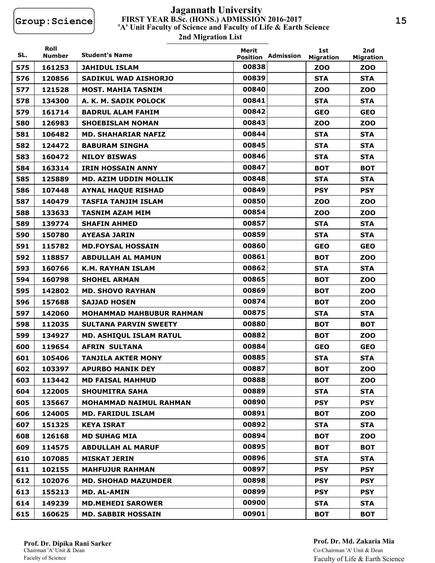# **FIRST YEAR B.Sc. (HONS.) ADMISSION 2016-2017 2nd Migration List 'A' Unit Faculty of Science and Faculty of Life & Earth Science Jagannath University**

| SL. | Roll<br>Number | <b>Student's Name</b>           | Merit<br><b>Position</b> | Admission | 1st<br><b>Migration</b> | 2nd<br><b>Migration</b> |
|-----|----------------|---------------------------------|--------------------------|-----------|-------------------------|-------------------------|
| 575 | 161253         | <b>JAHIDUL ISLAM</b>            | 00838                    |           | <b>ZOO</b>              | <b>ZOO</b>              |
| 576 | 120856         | <b>SADIKUL WAD AISHORJO</b>     | 00839                    |           | <b>STA</b>              | <b>STA</b>              |
| 577 | 121528         | <b>MOST. MAHIA TASNIM</b>       | 00840                    |           | <b>ZOO</b>              | <b>ZOO</b>              |
| 578 | 134300         | A. K. M. SADIK POLOCK           | 00841                    |           | <b>STA</b>              | <b>STA</b>              |
| 579 | 161714         | <b>BADRUL ALAM FAHIM</b>        | 00842                    |           | <b>GEO</b>              | <b>GEO</b>              |
| 580 | 126983         | <b>SHOEBISLAM NOMAN</b>         | 00843                    |           | <b>ZOO</b>              | <b>ZOO</b>              |
| 581 | 106482         | <b>MD. SHAHARIAR NAFIZ</b>      | 00844                    |           | <b>STA</b>              | <b>STA</b>              |
| 582 | 124472         | <b>BABURAM SINGHA</b>           | 00845                    |           | <b>STA</b>              | <b>STA</b>              |
| 583 | 160472         | <b>NILOY BISWAS</b>             | 00846                    |           | <b>STA</b>              | <b>STA</b>              |
| 584 | 163314         | <b>IRIN HOSSAIN ANNY</b>        | 00847                    |           | <b>BOT</b>              | <b>BOT</b>              |
| 585 | 125889         | MD. AZIM UDDIN MOLLIK           | 00848                    |           | <b>STA</b>              | <b>STA</b>              |
| 586 | 107448         | <b>AYNAL HAQUE RISHAD</b>       | 00849                    |           | <b>PSY</b>              | <b>PSY</b>              |
| 587 | 140479         | <b>TASFIA TANJIM ISLAM</b>      | 00850                    |           | <b>ZOO</b>              | <b>ZOO</b>              |
| 588 | 133633         | <b>TASNIM AZAM MIM</b>          | 00854                    |           | <b>ZOO</b>              | <b>ZOO</b>              |
| 589 | 139774         | <b>SHAFIN AHMED</b>             | 00857                    |           | <b>STA</b>              | <b>STA</b>              |
| 590 | 150780         | <b>AYEASA JARIN</b>             | 00859                    |           | <b>STA</b>              | <b>STA</b>              |
| 591 | 115782         | <b>MD.FOYSAL HOSSAIN</b>        | 00860                    |           | <b>GEO</b>              | <b>GEO</b>              |
| 592 | 118857         | <b>ABDULLAH AL MAMUN</b>        | 00861                    |           | <b>BOT</b>              | ZOO                     |
| 593 | 160766         | <b>K.M. RAYHAN ISLAM</b>        | 00862                    |           | <b>STA</b>              | <b>STA</b>              |
| 594 | 160798         | <b>SHOHEL ARMAN</b>             | 00865                    |           | <b>BOT</b>              | <b>ZOO</b>              |
| 595 | 142802         | <b>MD. SHOVO RAYHAN</b>         | 00869                    |           | <b>BOT</b>              | <b>ZOO</b>              |
| 596 | 157688         | <b>SAJJAD HOSEN</b>             | 00874                    |           | <b>BOT</b>              | <b>ZOO</b>              |
| 597 | 142060         | <b>MOHAMMAD MAHBUBUR RAHMAN</b> | 00875                    |           | <b>STA</b>              | <b>STA</b>              |
| 598 | 112035         | <b>SULTANA PARVIN SWEETY</b>    | 00880                    |           | <b>BOT</b>              | <b>BOT</b>              |
| 599 | 134927         | <b>MD. ASHIQUL ISLAM RATUL</b>  | 00882                    |           | <b>BOT</b>              | <b>ZOO</b>              |
| 600 | 119654         | <b>AFRIN SULTANA</b>            | 00884                    |           | <b>GEO</b>              | <b>GEO</b>              |
| 601 | 105406         | <b>TANJILA AKTER MONY</b>       | 00885                    |           | <b>STA</b>              | <b>STA</b>              |
| 602 | 103397         | <b>APURBO MANIK DEY</b>         | 00887                    |           | <b>BOT</b>              | <b>ZOO</b>              |
| 603 | 113442         | <b>MD FAISAL MAHMUD</b>         | 00888                    |           | <b>BOT</b>              | <b>ZOO</b>              |
| 604 | 122005         | <b>SHOUMITRA SAHA</b>           | 00889                    |           | <b>STA</b>              | <b>STA</b>              |
| 605 | 135667         | <b>MOHAMMAD NAIMUL RAHMAN</b>   | 00890                    |           | <b>PSY</b>              | <b>PSY</b>              |
| 606 | 124005         | <b>MD. FARIDUL ISLAM</b>        | 00891                    |           | <b>BOT</b>              | <b>ZOO</b>              |
| 607 | 151325         | <b>KEYA ISRAT</b>               | 00892                    |           | <b>STA</b>              | <b>STA</b>              |
| 608 | 126168         | <b>MD SUHAG MIA</b>             | 00894                    |           | <b>BOT</b>              | <b>ZOO</b>              |
| 609 | 114575         | <b>ABDULLAH AL MARUF</b>        | 00895                    |           | <b>BOT</b>              | <b>BOT</b>              |
| 610 | 107085         | <b>MISKAT JERIN</b>             | 00896                    |           | <b>STA</b>              | <b>STA</b>              |
| 611 | 102155         | <b>MAHFUJUR RAHMAN</b>          | 00897                    |           | <b>PSY</b>              | <b>PSY</b>              |
| 612 | 102076         | <b>MD. SHOHAD MAZUMDER</b>      | 00898                    |           | <b>PSY</b>              | <b>PSY</b>              |
| 613 | 155213         | <b>MD. AL-AMIN</b>              | 00899                    |           | <b>PSY</b>              | <b>PSY</b>              |
| 614 | 149239         | <b>MD.MEHEDI SAROWER</b>        | 00900                    |           | <b>STA</b>              | <b>STA</b>              |
| 615 | 160625         | <b>MD. SABBIR HOSSAIN</b>       | 00901                    |           | <b>BOT</b>              | <b>BOT</b>              |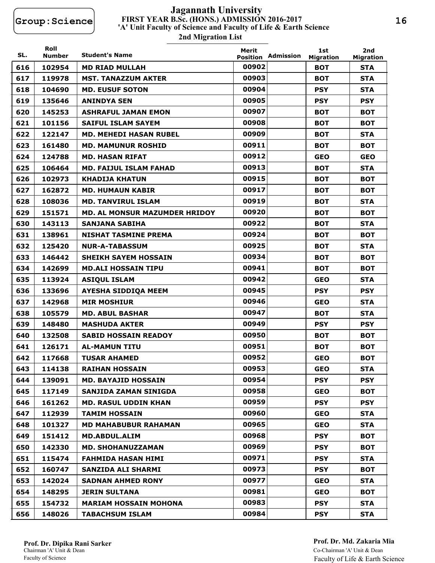# **FIRST YEAR B.Sc. (HONS.) ADMISSION 2016-2017 2nd Migration List 'A' Unit Faculty of Science and Faculty of Life & Earth Science Jagannath University**

| SL. | Roll<br><b>Number</b> | <b>Student's Name</b>         | Merit<br><b>Position</b> | Admission | 1st<br><b>Migration</b> | 2nd<br><b>Migration</b> |
|-----|-----------------------|-------------------------------|--------------------------|-----------|-------------------------|-------------------------|
| 616 | 102954                | <b>MD RIAD MULLAH</b>         | 00902                    |           | <b>BOT</b>              | <b>STA</b>              |
| 617 | 119978                | <b>MST. TANAZZUM AKTER</b>    | 00903                    |           | <b>BOT</b>              | <b>STA</b>              |
| 618 | 104690                | <b>MD. EUSUF SOTON</b>        | 00904                    |           | <b>PSY</b>              | <b>STA</b>              |
| 619 | 135646                | <b>ANINDYA SEN</b>            | 00905                    |           | <b>PSY</b>              | <b>PSY</b>              |
| 620 | 145253                | <b>ASHRAFUL JAMAN EMON</b>    | 00907                    |           | <b>BOT</b>              | <b>BOT</b>              |
| 621 | 101156                | <b>SAIFUL ISLAM SAYEM</b>     | 00908                    |           | <b>BOT</b>              | <b>BOT</b>              |
| 622 | 122147                | <b>MD. MEHEDI HASAN RUBEL</b> | 00909                    |           | <b>BOT</b>              | <b>STA</b>              |
| 623 | 161480                | <b>MD. MAMUNUR ROSHID</b>     | 00911                    |           | <b>BOT</b>              | <b>BOT</b>              |
| 624 | 124788                | <b>MD. HASAN RIFAT</b>        | 00912                    |           | <b>GEO</b>              | <b>GEO</b>              |
| 625 | 106464                | <b>MD. FAIJUL ISLAM FAHAD</b> | 00913                    |           | <b>BOT</b>              | <b>STA</b>              |
| 626 | 102973                | <b>KHADIJA KHATUN</b>         | 00915                    |           | <b>BOT</b>              | <b>BOT</b>              |
| 627 | 162872                | <b>MD. HUMAUN KABIR</b>       | 00917                    |           | <b>BOT</b>              | <b>BOT</b>              |
| 628 | 108036                | <b>MD. TANVIRUL ISLAM</b>     | 00919                    |           | <b>BOT</b>              | <b>STA</b>              |
| 629 | 151571                | MD. AL MONSUR MAZUMDER HRIDOY | 00920                    |           | <b>BOT</b>              | <b>BOT</b>              |
| 630 | 143113                | <b>SANJANA SABIHA</b>         | 00922                    |           | <b>BOT</b>              | <b>STA</b>              |
| 631 | 138961                | <b>NISHAT TASMINE PREMA</b>   | 00924                    |           | <b>BOT</b>              | <b>BOT</b>              |
| 632 | 125420                | <b>NUR-A-TABASSUM</b>         | 00925                    |           | <b>BOT</b>              | <b>STA</b>              |
| 633 | 146442                | <b>SHEIKH SAYEM HOSSAIN</b>   | 00934                    |           | <b>BOT</b>              | <b>BOT</b>              |
| 634 | 142699                | <b>MD.ALI HOSSAIN TIPU</b>    | 00941                    |           | <b>BOT</b>              | <b>BOT</b>              |
| 635 | 113924                | <b>ASIQUL ISLAM</b>           | 00942                    |           | <b>GEO</b>              | <b>STA</b>              |
| 636 | 133696                | <b>AYESHA SIDDIQA MEEM</b>    | 00945                    |           | <b>PSY</b>              | <b>PSY</b>              |
| 637 | 142968                | <b>MIR MOSHIUR</b>            | 00946                    |           | <b>GEO</b>              | <b>STA</b>              |
| 638 | 105579                | <b>MD. ABUL BASHAR</b>        | 00947                    |           | <b>BOT</b>              | <b>STA</b>              |
| 639 | 148480                | <b>MASHUDA AKTER</b>          | 00949                    |           | <b>PSY</b>              | <b>PSY</b>              |
| 640 | 132508                | <b>SABID HOSSAIN READOY</b>   | 00950                    |           | <b>BOT</b>              | <b>BOT</b>              |
| 641 | 126171                | <b>AL-MAMUN TITU</b>          | 00951                    |           | <b>BOT</b>              | <b>BOT</b>              |
| 642 | 117668                | <b>TUSAR AHAMED</b>           | 00952                    |           | <b>GEO</b>              | <b>BOT</b>              |
| 643 | 114138                | <b>RAIHAN HOSSAIN</b>         | 00953                    |           | <b>GEO</b>              | <b>STA</b>              |
| 644 | 139091                | <b>MD. BAYAJID HOSSAIN</b>    | 00954                    |           | <b>PSY</b>              | <b>PSY</b>              |
| 645 | 117149                | <b>SANJIDA ZAMAN SINIGDA</b>  | 00958                    |           | <b>GEO</b>              | <b>BOT</b>              |
| 646 | 161262                | <b>MD. RASUL UDDIN KHAN</b>   | 00959                    |           | <b>PSY</b>              | <b>PSY</b>              |
| 647 | 112939                | <b>TAMIM HOSSAIN</b>          | 00960                    |           | <b>GEO</b>              | <b>STA</b>              |
| 648 | 101327                | <b>MD MAHABUBUR RAHAMAN</b>   | 00965                    |           | <b>GEO</b>              | <b>STA</b>              |
| 649 | 151412                | <b>MD.ABDUL.ALIM</b>          | 00968                    |           | <b>PSY</b>              | <b>BOT</b>              |
| 650 | 142330                | <b>MD. SHOHANUZZAMAN</b>      | 00969                    |           | <b>PSY</b>              | <b>BOT</b>              |
| 651 | 115474                | <b>FAHMIDA HASAN HIMI</b>     | 00971                    |           | <b>PSY</b>              | <b>STA</b>              |
| 652 | 160747                | <b>SANZIDA ALI SHARMI</b>     | 00973                    |           | <b>PSY</b>              | <b>BOT</b>              |
| 653 | 142024                | <b>SADNAN AHMED RONY</b>      | 00977                    |           | <b>GEO</b>              | <b>STA</b>              |
| 654 | 148295                | <b>JERIN SULTANA</b>          | 00981                    |           | <b>GEO</b>              | <b>BOT</b>              |
| 655 | 154732                | <b>MARIAM HOSSAIN MOHONA</b>  | 00983                    |           | <b>PSY</b>              | <b>STA</b>              |
| 656 | 148026                | <b>TABACHSUM ISLAM</b>        | 00984                    |           | <b>PSY</b>              | <b>STA</b>              |